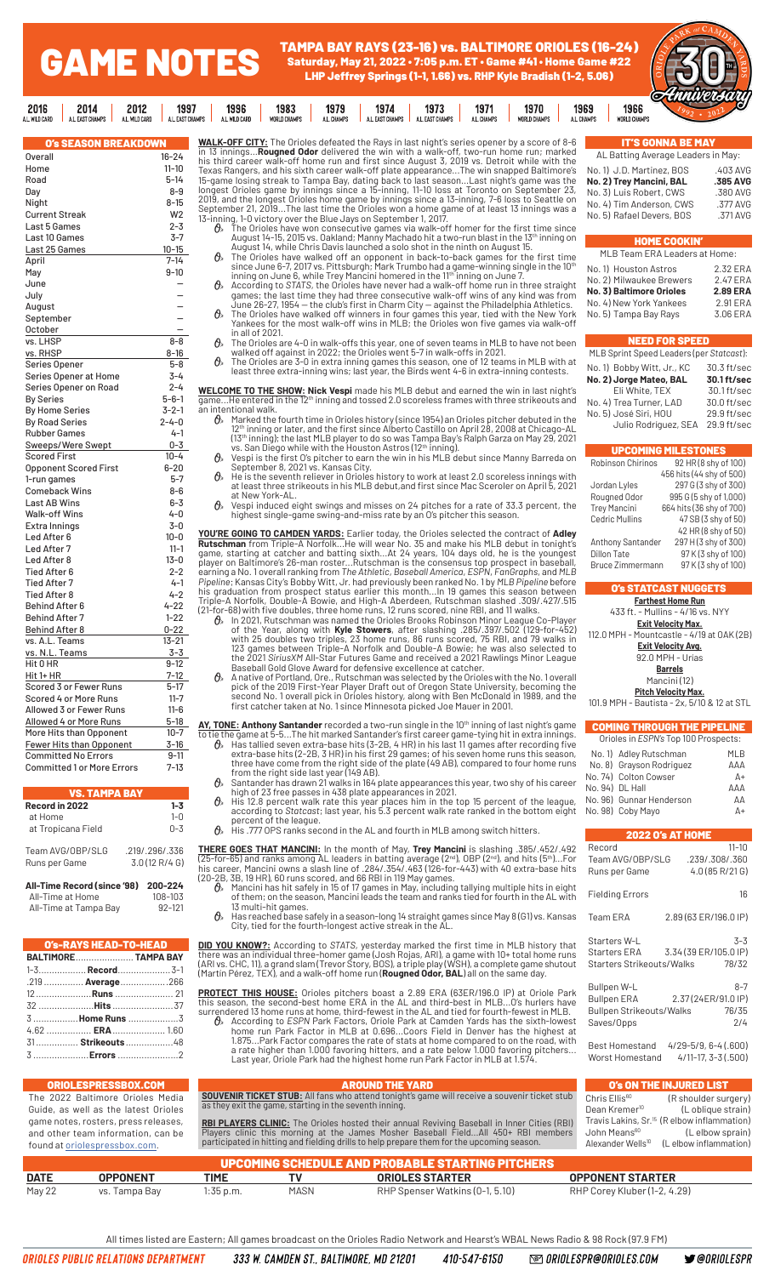## TAMPA BAY RAYS (23-16) vs. BALTIMORE ORIOLES (16-24) Saturday, May 21, 2022 • 7:05 p.m. ET • Game #41 • Home Game #22 LHP Jeffrey Springs (1-1, 1.66) vs. RHP Kyle Bradish (1-2, 5.06)

1971

1970

1969

1973

| 24)<br>122                  |    |  |
|-----------------------------|----|--|
| 1966<br><b>WORLD CHAMPS</b> | Ο. |  |

| A.L. WILU UAKU<br>A.L. LAOI UNAMPO<br>A.L. WILD UAKU | A.L. LAOI UNAMPO |          |
|------------------------------------------------------|------------------|----------|
| <b>O's SEASON BREAKDOWN</b>                          |                  | W        |
| <b>Overall</b>                                       | $16 - 24$        | in<br>hi |
| Home                                                 | $11 - 10$        | Тε       |
| Road                                                 | 5-14             | 15       |
| Day                                                  | 8-9              | lo       |
| Night                                                | $8 - 15$         | 20       |
| <b>Current Streak</b>                                | W <sub>2</sub>   | S٤       |
| Last 5 Games                                         | $2 - 3$          | 13       |
| Last 10 Games                                        | $3 - 7$          |          |
| Last 25 Games                                        | 10-15            |          |
| April                                                | $7 - 14$         |          |
| May                                                  | $9 - 10$         |          |
| June                                                 |                  |          |
| July                                                 |                  |          |
| August                                               |                  |          |
| September                                            |                  |          |
| October                                              |                  |          |
| vs. LHSP                                             | $8 - 8$          |          |
| vs. RHSP                                             | 8-16             |          |
| Series Opener                                        | $5 - 8$          |          |
| Series Opener at Home                                | 3-4              |          |
| Series Opener on Road                                | 2-4              |          |
| <b>By Series</b>                                     | $5 - 6 - 1$      | W        |
|                                                      | $3 - 2 - 1$      | qa<br>ar |
| <b>By Home Series</b>                                | $2 - 4 - 0$      |          |
| <b>By Road Series</b>                                |                  |          |
| <b>Rubber Games</b>                                  | 4-1              |          |
| Sweeps/Were Swept                                    | $0 - 3$          |          |
| <b>Scored First</b>                                  | $10 - 4$         |          |
| <b>Opponent Scored First</b>                         | $6 - 20$         |          |
| 1-run games                                          | $5 - 7$          |          |
| <b>Comeback Wins</b>                                 | 8-6              |          |
| <b>Last AB Wins</b>                                  | 6-3              |          |
| <b>Walk-off Wins</b>                                 | 4-0              |          |
| Extra Innings                                        | $3 - 0$          | Y        |
| Led After 6                                          | $10 - 0$         | R١       |
| Led After 7                                          | 11-1             | qa       |
| Led After 8                                          | $13 - 0$         | рI       |
| Tied After 6                                         | 2-2              | ea       |
| <b>Tied After 7</b>                                  | 4-1              | Pi<br>hi |
| <b>Tied After 8</b>                                  | 4-2              | Tr       |
| <b>Behind After 6</b>                                | $4 - 22$         | (2       |
| <b>Behind After 7</b>                                | 1-22             |          |
| <b>Behind After 8</b>                                | $0 - 22$         |          |
| vs. A.L. Teams                                       | 13-21            |          |
| vs. N.L. Teams                                       | 3-3              |          |
| Hit 0 HR                                             | $9 - 12$         |          |
| Hit 1+ HR                                            | 7-12             |          |
| Scored 3 or Fewer Runs                               | $5 - 17$         |          |
| Scored 4 or More Runs                                | 11-7             |          |
| Allowed 3 or Fewer Runs                              | 11-6             |          |
| Allowed 4 or More Runs                               | $5-18$           | A        |
| More Hits than Opponent                              | 10-7             | to       |
| Fewer Hits than Opponent                             | 3-16             |          |
| <b>Committed No Errors</b>                           | $9 - 11$         |          |
| <b>Committed 1 or More Errors</b>                    | $7 - 13$         |          |
|                                                      |                  |          |

GAME NOTES

 $\mathbb{R}$ 

1997

1996

1983

1979

2012

2016

2014

| Record in 2022                      | $1 - 3$        |
|-------------------------------------|----------------|
| at Home                             | $1 - 0$        |
| at Tropicana Field                  | $0 - 3$        |
| Team AVG/OBP/SLG                    | .219/.296/.336 |
| Runs per Game                       | 3.0(12 R/4 G)  |
| All-Time Record (since '98) 200-224 |                |
| All-Time at Home                    | 108-103        |
| All-Time at Tampa Bav               | 92-121         |

TAMPA PAY

| O's-RAYS HEAD-TO-HEAD |                      |
|-----------------------|----------------------|
|                       | BALTIMORE TAMPA BAY  |
|                       | 1-3 Record 3-1       |
|                       | .219  Average 266    |
|                       |                      |
|                       | 32 <b>Hits</b> 37    |
|                       | 3 Home Runs 3        |
|                       | 4.62 <b>ERA</b> 1.60 |
|                       | 31 Strikeouts 48     |
|                       | 3 <b>Errors</b> 2    |

ORIOLES PUBLIC RELATIONS DEPARTMENT

| <b>WALK-OFF CITY:</b> The Orioles defeated the Rays in last night's series opener by a score of 8-6 |
|-----------------------------------------------------------------------------------------------------|
| in 13 inningsRougned Odor delivered the win with a walk-off, two-run home run; marked               |
| his third career walk-off home run and first since August 3, 2019 vs. Detroit while with the        |
| Texas Rangers, and his sixth career walk-off plate appearanceThe win snapped Baltimore's            |
| 15-game losing streak to Tampa Bay, dating back to last seasonLast night's game was the             |
| longest Orioles game by innings since a 15-inning, 11-10 loss at Toronto on September 23,           |
| 2019, and the longest Orioles home game by innings since a 13-inning, 7-6 loss to Seattle on        |
| September 21, 2019The last time the Orioles won a home game of at least 13 innings was a            |
| 13-inning, 1-0 victory over the Blue Jays on September 1, 2017.                                     |

1974

- 13-inning, 1-0 victory over the Blue Jays on September 1, 2017.<br>  $\bullet$  The Orioles have won consecutive games via walk-off homer for the first time since<br>
August 14-15, 2015 vs. Oakland; Manny Machado hit a two-run blast i
	- $\mathcal{O}_n$  The Orioles have walked off an opponent in back-to-back games for the first time since June 6-7, 2017 vs. Pittsburgh; Mark Trumbo had a game-winning single in the 10<sup>th</sup><br>inning on June 6, while Trey Mancini home
	- games; the last time they had three consecutive walk-off wins of any kind was from<br>June 26-27, 1954 the club's first in Charm City against the Philadelphia Athletics.<br>De The Orioles have walked off winners in four gam
	- in all of 2021.
	- $\mathcal{O}_n$  The Orioles are 4-0 in walk-offs this year, one of seven teams in MLB to have not been walked off against in 2022; the Orioles went 5-7 in walk-offs in 2021.<br> $\mathcal{O}_n$  The Orioles are 3-0 in extra inning games t

**WELCOME TO THE SHOW: Nick Vespi** made his MLB debut and earned the win in last night's<br>game...He entered in the 12<sup>th</sup> inning and tossed 2.0 scoreless frames with three strikeouts and

intentional walk.<br>A. Marked the

- **A** Marked the fourth time in Orioles history (since 1954) an Orioles pitcher debuted in the 12<sup>th</sup> inning or later, and the first since Alberto Castillo on April 28, 2008 at Chicago-AL (13<sup>th</sup> inning); the last MLB play
- 
- at New York-AL.
- $\theta$  Vespi induced eight swings and misses on 24 pitches for a rate of 33.3 percent, the highest single-game swing-and-miss rate by an O's pitcher this season.

**YOU'RE GOING TO CAMDEN YARDS:** Earlier today, the Orioles selected the contract of **Adley**<br> **Rutschman** from Triple-A Norfolk...He will wear No. 35 and make his MLB debut in tonights<br> **Rutschman** is the consensus top pro

- 
- second No. 1 overall pick in Orioles history, along with Ben McDonald in 1989, and the first catcher taken at No. 1 since Minnesota picked Joe Mauer in 2001.

**AY, TONE: Anthony Santander** recorded a two-run single in the 10<sup>th</sup> inning of last night's game<br>to tie the game at  $5-5$ ...The hit marked Santander's first career game-tying hit in extra-base hits (3-2B, 4 HR) in his

- 
- $\theta$  His 12.8 percent walk rate this year places him in the top 15 percent of the league,<br>according to Statcast; last year, his 5.3 percent walk rate ranked in the bottom eight<br>percent of the league.<br> $\theta$  His .777 OPS ran
- 

**THERE GOES THAT MANCINI:** In the month of May, **Trey Mancini** is slashing .385/.452/.492<br>(25-for-65) and ranks among AL leaders in batting average ( $2^{\text{nd}}$ ), OBP ( $2^{\text{nd}}$ ), and hits ( $5^{\text{th}}$ )...For<br>his career, Manc

13 multi-hit games.  $\theta$  Has reached base safely in a season-long 14 straight games since May 8 (G1) vs. Kansas<br>City, tied for the fourth-longest active streak in the AL.

**DID YOU KNOW?:** According to STATS, yesterday marked the first time in MLB history that<br>there was an individual three-homer game (Josh Rojas, ARI), a game with 10+ total home runs<br>(ARI vs. CHC, 11), a grand slam (Trevor S

**PROTECT THIS HOUSE:** Orioles pitchers boast a 2.89 ERA (63ER/196.0 IP) at Oriole Park<br>this season, the second-best home ERA in the AL and third-best in MLB...O's hurlers have<br>surrendered 13 home runs at home, third-fewest

**IT'S GONNA BE M/** AL Batting Average Leaders in May: No. 1) J.D. Martinez, BOS .403 AVG<br>No. 2) Trev Mancini. BAL .585 AVG **No. 2) Trey Mancini, BAL .385 AVG** No. 3) Luis Robert, CWS .380 AVG No. 4) Tim Anderson, CWS .377 AVG<br>No. 5) Rafael Devers, BOS .371 AVG No. 5) Rafael Devers, BOS

|        |         | a El P<br>. . | $\sim$ $\sim$ $\sim$ | . |
|--------|---------|---------------|----------------------|---|
| $\sim$ | $- - -$ |               |                      |   |

| MLB Team ERA Leaders at Home:        |                 |
|--------------------------------------|-----------------|
| No. 1) Houston Astros                | 2.32 ERA        |
| No. 2) Milwaukee Brewers<br>2.47 ERA |                 |
| No. 3) Baltimore Orioles             | <b>2.89 ERA</b> |
| No. 4) New York Yankees              | 2.91 ERA        |
| No. 5) Tampa Bay Rays                | 3.06 ERA        |
|                                      |                 |

#### NEED FOR SPEED

| MLB Sprint Speed Leaders (per Statcast): |             |  |
|------------------------------------------|-------------|--|
| No. 1) Bobby Witt, Jr., KC               | 30.3 ft/sec |  |
| No. 2) Jorge Mateo, BAL                  | 30.1 ft/sec |  |
| Eli White, TEX                           | 30.1 ft/sec |  |
| No. 4) Trea Turner, LAD                  | 30.0 ft/sec |  |
| No. 5) José Siri, HOU                    | 29.9 ft/sec |  |
| Julio Rodríguez, SEA                     | 29.9 ft/sec |  |

|                         | <b>UPCOMING MILESTONES</b> |
|-------------------------|----------------------------|
| Robinson Chirinos       | 92 HR (8 shy of 100)       |
|                         | 456 hits (44 shy of 500)   |
| Jordan Lyles            | 297 G (3 shy of 300)       |
| Rougned Odor            | 995 G (5 shy of 1,000)     |
| <b>Trey Mancini</b>     | 664 hits (36 shy of 700)   |
| <b>Cedric Mullins</b>   | 47 SB (3 shy of 50)        |
|                         | 42 HR (8 shy of 50)        |
| Anthony Santander       | 297 H (3 shy of 300)       |
| Dillon Tate             | 97 K (3 shy of 100)        |
| <b>Bruce Zimmermann</b> | 97 K (3 shy of 100)        |

## O's STATCAST NUGGETS

| <b>Farthest Home Run</b>                   |  |  |
|--------------------------------------------|--|--|
| 433 ft. - Mullins - 4/16 vs. NYY           |  |  |
| Exit Velocity Max.                         |  |  |
| 112.0 MPH - Mountcastle - 4/19 at OAK (2B) |  |  |
|                                            |  |  |

**Exit Velocity Avg.** 92.0 MPH - Urías **Barrels**

Mancini (12)

**Pitch Velocity Max.** 101.9 MPH - Bautista - 2x, 5/10 & 12 at STL

### COMING THROUGH THE PIPELINE

| Orioles in ESPN's Top 100 Prospects: |                          |            |
|--------------------------------------|--------------------------|------------|
|                                      | No. 1) Adley Rutschman   | MLB        |
|                                      | No. 8) Grayson Rodriguez | ΔΔΔ        |
| No. 74) Colton Cowser<br>$\Delta +$  |                          |            |
| No. 94) DL Hall                      |                          | ΔΔΔ        |
| No. 96) Gunnar Henderson             |                          | ΔΔ         |
|                                      | No. 98) Coby Mayo        | $\Delta +$ |
|                                      |                          |            |
| 2022 Q'e VL HUME                     |                          |            |

|                                                                                    | . .                                                    |
|------------------------------------------------------------------------------------|--------------------------------------------------------|
| Record<br>Team AVG/OBP/SLG<br>Runs per Game                                        | $11 - 10$<br>.239/.308/.360<br>4.0(85 R/21 G)          |
| <b>Fielding Errors</b>                                                             | 16                                                     |
| Team ERA                                                                           | 2.89 (63 ER/196.0 IP)                                  |
| Starters W-L<br>Starters Strikeouts/Walks                                          | $3 - 3$<br>Starters ERA 3.34 (39 ER/105.0 IP)<br>78/32 |
| Bullpen W-L<br><b>Bullpen ERA</b><br><b>Bullpen Strikeouts/Walks</b><br>Saves/Opps | $8 - 7$<br>2.37(24ER/91.0 IP)<br>76/35<br>2/4          |
| Best Homestand<br>Worst Homestand                                                  | $4/29 - 5/9, 6 - 4(.600)$<br>4/11-17, 3-3 (.500)       |

|             | <b>ORIOLESPRESSBOX.COM</b>           |             |                                                        | <b>AROUND THE YARD</b>                                                                              |                               | O's ON THE INJURED LIST                                 |
|-------------|--------------------------------------|-------------|--------------------------------------------------------|-----------------------------------------------------------------------------------------------------|-------------------------------|---------------------------------------------------------|
|             | The 2022 Baltimore Orioles Media     |             |                                                        | <b>SOUVENIR TICKET STUB:</b> All fans who attend tonight's game will receive a souvenir ticket stub | Chris Ellis <sup>60</sup>     | (R shoulder surgery)                                    |
|             | Guide, as well as the latest Orioles |             | as they exit the game, starting in the seventh inning. |                                                                                                     | Dean Kremer <sup>10</sup>     | (L oblique strain)                                      |
|             | game notes, rosters, press releases, |             |                                                        | <b>RBI PLAYERS CLINIC:</b> The Orioles hosted their annual Reviving Baseball in Inner Cities (RBI)  |                               | Travis Lakins, Sr. <sup>15</sup> (R elbow inflammation) |
|             | and other team information, can be   |             |                                                        | Players clinic this morning at the James Mosher Baseball FieldAll 450+ RBI members                  | John Means <sup>60</sup>      | (L elbow sprain)                                        |
|             | found at oriolespressbox.com.        |             |                                                        | participated in hitting and fielding drills to help prepare them for the upcoming season.           | Alexander Wells <sup>10</sup> | (Lelbow inflammation)                                   |
|             |                                      |             |                                                        | UPCOMING SCHEDULE AND PROBABLE STARTING PITCHERS                                                    |                               |                                                         |
| <b>DATE</b> | <b>OPPONENT</b>                      | TIME        | ΤV                                                     | <b>ORIOLES STARTER</b>                                                                              | <b>OPPONENT STARTER</b>       |                                                         |
| May 22      | vs. Tampa Bav                        | $1:35$ p.m. | <b>MASN</b>                                            | RHP Spenser Watkins (0-1, 5.10)                                                                     | RHP Corey Kluber (1-2, 4.29)  |                                                         |

410-547-6150

**@ ORIOLESPR@ORIOLES.COM**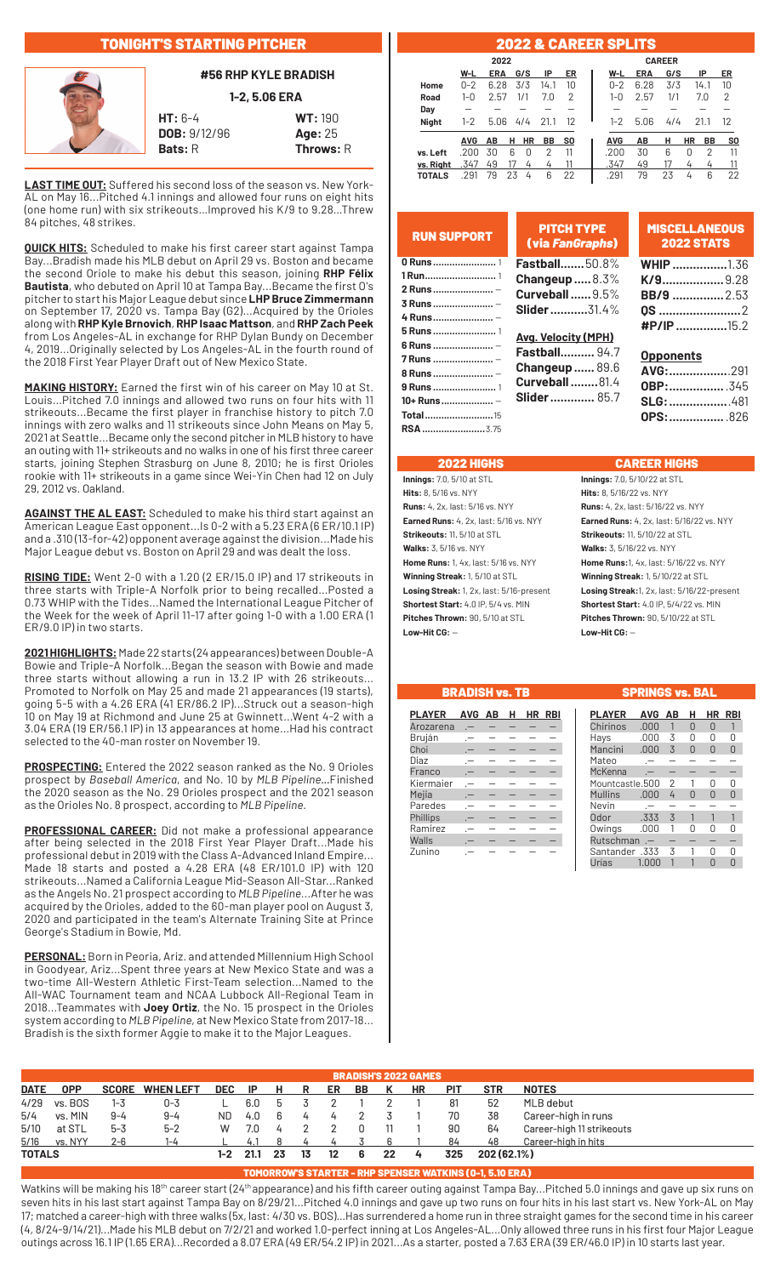# TONIGHT'S STARTING PITCHER



## **#56 RHP KYLE BRADISH**

**1-2, 5.06 ERA**

**HT:** 6-4 **WT:** 190 **DOB:** 9/12/96 **Age:** 25 **Bats: R** Throws: R

**LAST TIME OUT:** Suffered his second loss of the season vs. New York-AL on May 16...Pitched 4.1 innings and allowed four runs on eight hits (one home run) with six strikeouts…Improved his K/9 to 9.28…Threw 84 pitches, 48 strikes.

**QUICK HITS:** Scheduled to make his first career start against Tampa Bay...Bradish made his MLB debut on April 29 vs. Boston and became the second Oriole to make his debut this season, joining **RHP Félix Bautista**, who debuted on April 10 at Tampa Bay...Became the first O's pitcher to start his Major League debut since **LHP Bruce Zimmermann**  on September 17, 2020 vs. Tampa Bay (G2)...Acquired by the Orioles along with **RHP Kyle Brnovich**, **RHP Isaac Mattson**, and **RHP Zach Peek**  from Los Angeles-AL in exchange for RHP Dylan Bundy on December 4, 2019...Originally selected by Los Angeles-AL in the fourth round of the 2018 First Year Player Draft out of New Mexico State.

**MAKING HISTORY:** Earned the first win of his career on May 10 at St. Louis...Pitched 7.0 innings and allowed two runs on four hits with 11 strikeouts...Became the first player in franchise history to pitch 7.0 innings with zero walks and 11 strikeouts since John Means on May 5, 2021 at Seattle...Became only the second pitcher in MLB history to have an outing with 11+ strikeouts and no walks in one of his first three career starts, joining Stephen Strasburg on June 8, 2010; he is first Orioles rookie with 11+ strikeouts in a game since Wei-Yin Chen had 12 on July 29, 2012 vs. Oakland.

**AGAINST THE AL EAST:** Scheduled to make his third start against an American League East opponent...Is 0-2 with a 5.23 ERA (6 ER/10.1 IP) and a .310 (13-for-42) opponent average against the division...Made his Major League debut vs. Boston on April 29 and was dealt the loss.

**RISING TIDE:** Went 2-0 with a 1.20 (2 ER/15.0 IP) and 17 strikeouts in three starts with Triple-A Norfolk prior to being recalled...Posted a 0.73 WHIP with the Tides...Named the International League Pitcher of the Week for the week of April 11-17 after going 1-0 with a 1.00 ERA (1 ER/9.0 IP) in two starts.

**2021 HIGHLIGHTS:** Made 22 starts (24 appearances) between Double-A Bowie and Triple-A Norfolk...Began the season with Bowie and made three starts without allowing a run in 13.2 IP with 26 strikeouts... Promoted to Norfolk on May 25 and made 21 appearances (19 starts), going 5-5 with a 4.26 ERA (41 ER/86.2 IP)...Struck out a season-high 10 on May 19 at Richmond and June 25 at Gwinnett...Went 4-2 with a 3.04 ERA (19 ER/56.1 IP) in 13 appearances at home...Had his contract selected to the 40-man roster on November 19.

**PROSPECTING:** Entered the 2022 season ranked as the No. 9 Orioles prospect by *Baseball America*, and No. 10 by *MLB Pipeline...*Finished the 2020 season as the No. 29 Orioles prospect and the 2021 season as the Orioles No. 8 prospect, according to *MLB Pipeline*.

**PROFESSIONAL CAREER:** Did not make a professional appearance after being selected in the 2018 First Year Player Draft...Made his professional debut in 2019 with the Class A-Advanced Inland Empire... Made 18 starts and posted a 4.28 ERA (48 ER/101.0 IP) with 120 strikeouts...Named a California League Mid-Season All-Star...Ranked as the Angels No. 21 prospect according to *MLB Pipeline*...After he was acquired by the Orioles, added to the 60-man player pool on August 3, 2020 and participated in the team's Alternate Training Site at Prince George's Stadium in Bowie, Md.

**PERSONAL:** Born in Peoria, Ariz. and attended Millennium High School in Goodyear, Ariz...Spent three years at New Mexico State and was a two-time All-Western Athletic First-Team selection...Named to the All-WAC Tournament team and NCAA Lubbock All-Regional Team in 2018...Teammates with **Joey Ortiz**, the No. 15 prospect in the Orioles system according to *MLB Pipeline*, at New Mexico State from 2017-18... Bradish is the sixth former Aggie to make it to the Major Leagues.

## 2022 & CAREER SPLITS

|               |            | 2022       |    |     |      |           |  |            |            | <b>CAREER</b> |           |           |                |
|---------------|------------|------------|----|-----|------|-----------|--|------------|------------|---------------|-----------|-----------|----------------|
|               | W-L        | <b>ERA</b> |    | G/S | IP   | ER        |  | W-L        | <b>ERA</b> | G/S           |           | IP        | ER             |
| Home          | $0 - 2$    | 6.28       |    | 3/3 | 14.1 | 10        |  | $0 - 2$    | 6.28       | 3/3           |           | 14.1      | 10             |
| Road          | 1-0        | 2.57       |    | 1/1 | 7.0  | 2         |  | $1 - 0$    | 2.57       | 1/1           |           | 7.0       | 2              |
| Day           |            |            |    |     |      |           |  |            |            |               |           |           |                |
| <b>Night</b>  | $1 - 2$    | 5.06       |    | 4/4 | 21.1 | 12        |  | $1 - 2$    | 5.06       | 4/4           |           | 21.1      | 12             |
|               | <b>AVG</b> | AВ         | н  | HR  | BB   | <b>SO</b> |  | <b>AVG</b> | AВ         | н             | <b>HR</b> | <b>BB</b> | S <sub>0</sub> |
| vs. Left      | .200       | 30         | 6  | 0   | 2    | 11        |  | .200       | 30         | 6             | 0         | 2         | 11             |
| vs. Right     | .347       | 49         |    |     | 4    |           |  | .347       | 49         | 17            |           | 4         | 11             |
| <b>TOTALS</b> | .291       | 79         | 23 | 4   | 6    | 22        |  | .291       | 79         | 23            | 4         | 6         | 22             |

| <b>RUN SUPPORT</b>     | <b>PITCH TYPE</b><br>(via FanGraphs) | <b>MISCELLANEOUS</b><br><b>2022 STATS</b> |
|------------------------|--------------------------------------|-------------------------------------------|
| 0 Runs  1              | <b>Fastball50.8%</b>                 | <b>WHIP</b> 1.36                          |
|                        | Changeup $\ldots 8.3\%$              | $K/9$ 9.28                                |
| 2 Runs  -              | <b>Curveball 9.5%</b>                | <b>BB/9 </b> 2.53                         |
| 3 Runs  -              | <b>Slider</b> 31.4%                  | <b>0S</b> 2                               |
| 4 Runs  -              |                                      | $\textbf{HP/IP}$ 15.2                     |
| 5 Runs  1              | <b>Avg. Velocity (MPH)</b>           |                                           |
| 6 Runs  -<br>7 Runs  - | <b>Fastball</b> 94.7                 | <b>Opponents</b>                          |
| 8 Runs  -              | <b>Changeup 89.6</b>                 | AVG:291                                   |
|                        | <b>Curveball  81.4</b>               |                                           |
| 10+ Runs  -            | <b>Slider</b> 85.7                   | <b>SLG:</b> 481                           |
| <b>Total15</b>         |                                      | <b>OPS:</b> 826                           |
| <b>RSA</b> 3.75        |                                      |                                           |

## 2022 HIGHS CAREER HIGHS

**Hits:** 8, 5/16 vs. NYY **Hits:** 8, 5/16/22 vs. NYY **Runs:** 4, 2x, last: 5/16 vs. NYY **Runs:** 4, 2x, last: 5/16/22 vs. NYY **Strikeouts:** 11, 5/10 at STL **Strikeouts:** 11, 5/10/22 at STL **Walks:** 3, 5/16 vs. NYY **Walks:** 3, 5/16/22 vs. NYY **Home Runs:** 1, 4x, last: 5/16 vs. NYY **Home Runs:**1, 4x, last: 5/16/22 vs. NYY **Winning Streak:** 1, 5/10 at STL **Winning Streak:** 1, 5/10/22 at STL **Shortest Start:** 4.0 IP, 5/4 vs. MIN **Shortest Start:** 4.0 IP, 5/4/22 vs. MIN **Pitches Thrown:** 90, 5/10 at STL **Pitches Thrown:** 90, 5/10/22 at STL **Low-Hit CG:** — **Low-Hit CG:** —

**Innings:** 7.0, 5/10 at STL **Innings:** 7.0, 5/10/22 at STL **Earned Runs:** 4, 2x, last: 5/16 vs. NYY **Earned Runs:** 4, 2x, last: 5/16/22 vs. NYY **Losing Streak:** 1, 2x, last: 5/16-present **Losing Streak:**1, 2x, last: 5/16/22-present

## BRADISH vs. TB SPRINGS vs. BAL

| <b>PLAYER</b> | AVG AB | н | HR RBI |
|---------------|--------|---|--------|
| Arozarena     |        |   |        |
| Bruján        |        |   |        |
| Choi          |        |   |        |
| Díaz          |        |   |        |
| Franco        |        |   |        |
| Kiermaier     |        |   |        |
| Mejía         |        |   |        |
| Paredes       |        |   |        |
| Phillips      |        |   |        |
| Ramírez       |        |   |        |
| Walls         |        |   |        |
| Zunino        |        |   |        |

| <b>PLAYER</b>   | <b>AVG</b>     | АΒ             | н | НR | RBI |
|-----------------|----------------|----------------|---|----|-----|
| Chirinos        | .000           | 1              | U | 0  | 1   |
| Hays            | .000           | 3              | N | Ŋ  | Ω   |
| Mancini         | .000           | 3              | ⋂ | N  | N   |
| Mateo           |                |                |   |    |     |
| McKenna         |                |                |   |    |     |
| Mountcastle.500 |                | $\overline{2}$ |   | N  | Π   |
| <b>Mullins</b>  | .000           | 4              | ∩ | ⋂  | N   |
| Nevin           |                |                |   |    |     |
| Odor            | .333           | 3              |   |    |     |
| Owings          | .000           | 1              | Λ | Λ  | 0   |
| Rutschman       | $\overline{a}$ |                |   |    |     |
| 333. Santander  |                | 3              |   | Λ  | N   |
| Jrías           | 1.000          |                |   | N  |     |

|        | <b>BRADISH'S 2022 GAMES</b> |         |                        |     |                 |     |          |         |    |        |                |            |             |                           |
|--------|-----------------------------|---------|------------------------|-----|-----------------|-----|----------|---------|----|--------|----------------|------------|-------------|---------------------------|
|        | DATE OPP                    |         | <b>SCORE WHEN LEFT</b> |     | DEC IP H R      |     |          | ER      | BB | K      | HR             | <b>PIT</b> | <b>STR</b>  | <b>NOTES</b>              |
|        | 4/29 vs. BOS                | $1 - 3$ | 0-3                    |     | 6.0             | - 5 |          |         |    |        |                | 81         | 52          | MLB debut                 |
| 5/4    | vs. MIN                     | $9 - 4$ | $9 - 4$                | ND. | 4.0 6           |     | -4       | 4       |    |        |                | - 70       | 38          | Career-high in runs       |
| 5/10   | at STL                      | $5 - 3$ | $5-2$                  | W   | 7.0 4           |     | $\sim$ 2 |         | 0  | - 11   |                | 90         | 64          | Career-high 11 strikeouts |
|        | 5/16 vs. NYY                | $2 - 6$ | $1 - 4$                |     | 4.1             |     |          |         |    |        |                | 84         | 48          | Career-high in hits       |
| TOTALS |                             |         |                        |     | $1 - 2$ 21.1 23 |     | 13       | $12 \,$ | 6  | $22\,$ | $\overline{4}$ | 325        | 202 (62.1%) |                           |

## TOMORROW'S STARTER - RHP SPENSER WATKINS (0-1, 5.10 ERA)

Watkins will be making his 18<sup>th</sup> career start (24<sup>th</sup> appearance) and his fifth career outing against Tampa Bay...Pitched 5.0 innings and gave up six runs on seven hits in his last start against Tampa Bay on 8/29/21...Pitched 4.0 innings and gave up two runs on four hits in his last start vs. New York-AL on May 17; matched a career-high with three walks (5x, last: 4/30 vs. BOS)…Has surrendered a home run in three straight games for the second time in his career (4, 8/24-9/14/21)...Made his MLB debut on 7/2/21 and worked 1.0-perfect inning at Los Angeles-AL...Only allowed three runs in his first four Major League outings across 16.1 IP (1.65 ERA)...Recorded a 8.07 ERA (49 ER/54.2 IP) in 2021...As a starter, posted a 7.63 ERA (39 ER/46.0 IP) in 10 starts last year.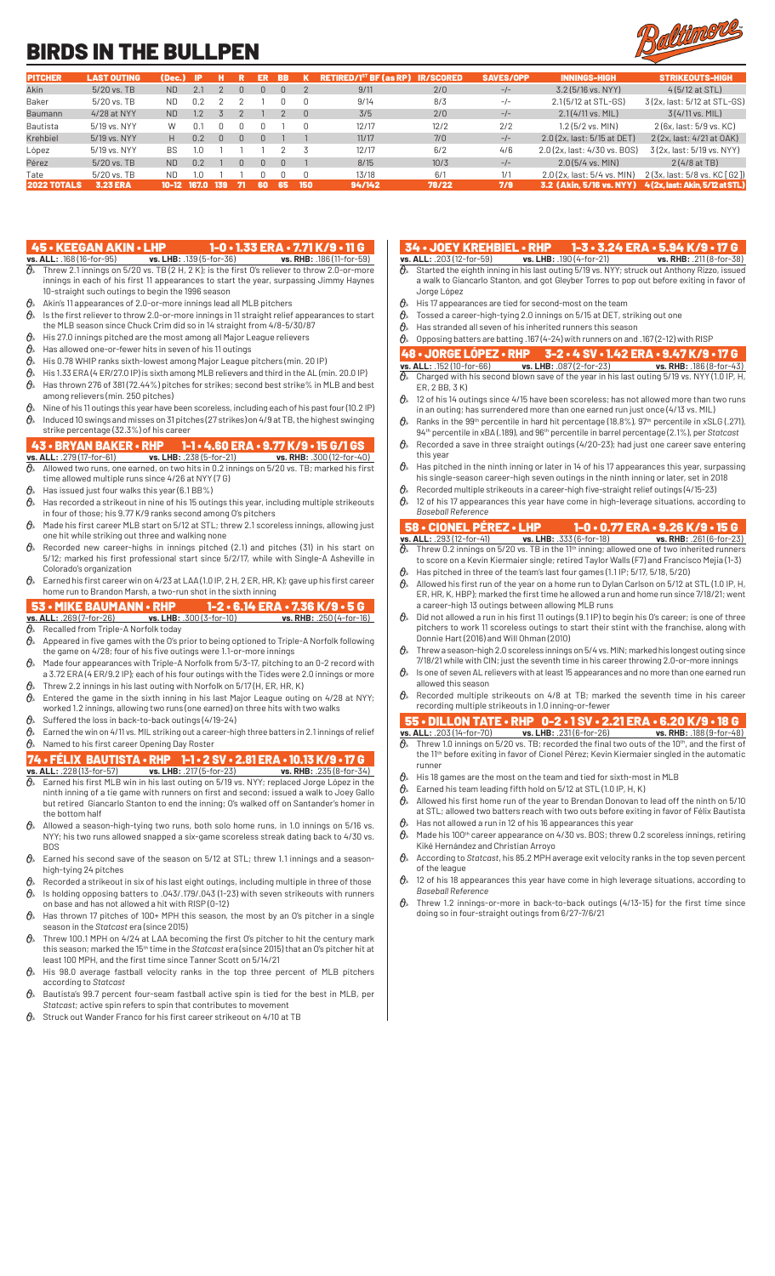# BIRDS IN THE BULLPEN



| <b>PITCHER</b>     | <b>LAST OUTING</b> | (Dec.)    | -IP   |     |     | ER  | <b>BB</b> |        | $RETIRED/IST BF$ (as RP) | <b>IR/SCORED</b> | <b>SAVES/OPP</b> | <b>INNINGS-HIGH</b>          | <b>STRIKEOUTS-HIGH</b>          |
|--------------------|--------------------|-----------|-------|-----|-----|-----|-----------|--------|--------------------------|------------------|------------------|------------------------------|---------------------------------|
| Akin               | 5/20 vs. TB        | <b>ND</b> | 2.1   |     |     |     | n.        |        | 9/11                     | 2/0              | $-/-$            | $3.2(5/16$ vs. NYY)          | $4(5/12$ at STL)                |
| Baker              | $5/20$ vs. TB      | ND.       | 0.2   |     |     |     |           |        | 9/14                     | 8/3              | $-/-$            | 2.1(5/12 at STL-GS)          | 3(2x, last: 5/12 at STL-GS)     |
| Baumann            | 4/28 at NYY        | <b>ND</b> | 1.2   |     |     |     |           | $\Box$ | 3/5                      | 2/0              | $-/-$            | $2.1(4/11$ vs. MIL)          | $3(4/11 \text{ vs. } MIL)$      |
| Bautista           | 5/19 vs. NYY       | W         | 0.1   |     |     |     |           |        | 12/17                    | 12/2             | 2/2              | 1.2 (5/2 vs. MIN)            | 2 (6x, last: 5/9 vs, KC)        |
| Krehbiel           | 5/19 vs. NYY       | H.        | 0.2   |     | N   | n   |           |        | 11/17                    | 7/0              | $-/-$            | 2.0 (2x, last: 5/15 at DET)  | 2 (2x, last: 4/21 at OAK)       |
| López              | 5/19 vs. NYY       | <b>BS</b> | 1.0   |     |     |     |           |        | 12/17                    | 6/2              | 4/6              | 2.0 (2x, last: 4/30 vs, BOS) | 3(2x, last: 5/19 vs. NYY)       |
| Pérez              | 5/20 vs. TB        | <b>ND</b> | 0.2   |     | N   | n.  | $\Box$    |        | 8/15                     | 10/3             | $-/-$            | $2.0(5/4$ vs. MIN)           | $2(4/8at$ TB)                   |
| Tate               | $5/20$ vs. TB      | <b>ND</b> | 1.0   |     |     |     |           |        | 13/18                    | 6/1              | 1/1              | 2.0 (2x, last: 5/4 vs, MIN)  | 2 (3x, last: 5/8 vs, KC [ G2 ]) |
| <b>2022 TOTALS</b> | <b>3.23 ERA</b>    | 10-12     | 167.0 | 139 | -71 | 60. | -65       | 150    | 94/142                   | 78/22            | 7/9              | 3.2 (Akin. 5/16 vs. NYY)     | 4 (2x. last: Akin. 5/12 at STL) |

- 45 KEEGAN AKIN LHP 1-0 1.33 ERA 7.71 K/9 11 G<br>vs. ALL: .168 (16-for-95) vs. LHB: .139 (5-for-36) vs. RHB: .186 (11-for-59)<br> $\frac{1}{0}$  Threw 2.1 innings on 5/20 vs. TR (2 H, 2 K), is the first of all the set of 11 **vs. ALL:** .168 (16-for-95) **vs. LHB:** .139 (5-for-36) **vs. RHB:** .186 (11-for-59)  $\partial\!\!\!/_s$  Threw 2.1 innings on 5/20 vs. TB (2 H, 2 K); is the first O's reliever to throw 2.0-or-more innings in each of his first 11 appearances to start the year, surpassing Jimmy Haynes 10-straight such outings to begin the 1996 season
- $\hat{\theta}_k$  Akin's 11 appearances of 2.0-or-more innings lead all MLB pitchers<br> $\hat{\theta}_k$  is the first reliever to throw 2.0-or-more innings in 11 straight relief
- Is the first reliever to throw 2.0-or-more innings in 11 straight relief appearances to start
- the MLB season since Chuck Crim did so in 14 straight from 4/8-5/30/87  $\theta_{\ell}$  His 27.0 innings pitched are the most among all Major League relievers
- $\theta$  Has allowed one-or-fewer hits in seven of his 11 outings
- $\theta$  His 0.78 WHIP ranks sixth-lowest among Major League pitchers (min. 20 IP)
- $\theta$  His 1.33 ERA (4 ER/27.0 IP) is sixth among MLB relievers and third in the AL (min. 20.0 IP)  $\theta_{\rm k}$  Has thrown 276 of 381 (72.44%) pitches for strikes; second best strike% in MLB and best among relievers (min. 250 pitches)
- $\theta$  Nine of his 11 outings this year have been scoreless, including each of his past four (10.2 IP)
- $\vartheta_{\!s}\!$  Induced 10 swings and misses on 31 pitches (27 strikes) on 4/9 at TB, the highest swinging strike percentage (32.3%) of his career

## 43 • BRYAN BAKER • RHP 1-1 • 4.60 ERA • 9.77 K/9 • 15 G/1 GS

- **vs. ALL:** .279 (17-for-61) **vs. LHB:** .238 (5-for-21) **vs. RHB:** .300 (12-for-40)  $\vartheta$  allowed two runs, one earned, on two hits in 0.2 innings on 5/20 vs. TB; marked his first  $\,$ time allowed multiple runs since 4/26 at NYY (7 G)
- $\theta_{\ast}$  Has issued just four walks this year (6.1 BB%)
- $\theta$  Has recorded a strikeout in nine of his 15 outings this year, including multiple strikeouts in four of those; his 9.77 K/9 ranks second among O's pitchers
- $\theta_{\rm k}$  Made his first career MLB start on 5/12 at STL; threw 2.1 scoreless innings, allowing just one hit while striking out three and walking none
- $\partial\!\!\!/_s\!\!\!>$  Recorded new career-highs in innings pitched (2.1) and pitches (31) in his start on 5/12; marked his first professional start since 5/2/17, while with Single-A Asheville in Colorado's organization
- $\mathcal{O}_k$  Earned his first career win on 4/23 at LAA (1.0 IP, 2 H, 2 ER, HR, K); gave up his first career home run to Brandon Marsh, a two-run shot in the sixth inning
- 
- **53 MIKE BAUMANN RHP 1-2 6.14 ERA 7.36 K/9 5 G**<br>vs. ALL: 269 (7-for-26) vs. LHB: 300 (3-for-10) vs. RHB: 250 (4-for-16) **vs. ALL:** .269 (7-for-26) **vs. LHB:** .300 (3-for-10) *g*, Recalled from Triple-A Norfolk today Recalled from Triple-A Norfolk today
- $\vartheta$  Appeared in five games with the O's prior to being optioned to Triple-A Norfolk following the game on 4/28; four of his five outings were 1.1-or-more innings
- $\theta$  Made four appearances with Triple-A Norfolk from 5/3-17, pitching to an 0-2 record with a 3.72 ERA (4 ER/9.2 IP); each of his four outings with the Tides were 2.0 innings or more
- $\theta$  Threw 2.2 innings in his last outing with Norfolk on 5/17 (H, ER, HR, K)  $\mathcal{O}_s$  Entered the game in the sixth inning in his last Major League outing on 4/28 at NYY; worked 1.2 innings, allowing two runs (one earned) on three hits with two walks
- $\theta_{\rm k}$  Suffered the loss in back-to-back outings (4/19-24)
- $\hat{\theta}_s$  Earned the win on 4/11 vs. MIL striking out a career-high three batters in 2.1 innings of relief  $\theta$ » Named to his first career Opening Day Roster
- 
- 74 FÉLIX BAUTISTA RHP 1-1 2 SV 2.81 ERA 10.13 K/9 17 G<br>vs. ALL: .228 (13-for-57) vs. LHB: .217 (5-for-23) vs. RHB: .235 (8-for-34)<br> $\theta$ , Earned his first MLB win in his last outling on 5/19 vs. NWY contaged th **vs. ALL:** .228 (13-for-57) **vs. LHB:** .217 (5-for-23) **vs. RHB:** .235 (8-for-34)  $\vartheta$  Earned his first MLB win in his last outing on 5/19 vs. NYY; replaced Jorge López in the ninth inning of a tie game with runners on first and second; issued a walk to Joey Gallo but retired Giancarlo Stanton to end the inning; O's walked off on Santander's homer in the bottom half
- $\theta$ <sup>\*</sup> Allowed a season-high-tying two runs, both solo home runs, in 1.0 innings on 5/16 vs. NYY; his two runs allowed snapped a six-game scoreless streak dating back to 4/30 vs. BOS
- $\mathcal{O}_{\delta}$  Earned his second save of the season on 5/12 at STL; threw 1.1 innings and a seasonhigh-tying 24 pitches
- $\hat{\theta}_*$  Recorded a strikeout in six of his last eight outings, including multiple in three of those  $\theta$  Is holding opposing batters to .043/.179/.043 (1-23) with seven strikeouts with runners
- on base and has not allowed a hit with RISP (0-12)
- $\partial\!\!\!/_s\!\!\!/$  Has thrown 17 pitches of 100+ MPH this season, the most by an O's pitcher in a single season in the *Statcast* era (since 2015)
- $\theta$ <sup>\*</sup> Threw 100.1 MPH on 4/24 at LAA becoming the first O's pitcher to hit the century mark this season; marked the 15th time in the *Statcast* era (since 2015) that an O's pitcher hit at least 100 MPH, and the first time since Tanner Scott on 5/14/21
- $\mathcal{O}_{\mathcal{P}}$  His 98.0 average fastball velocity ranks in the top three percent of MLB pitchers according to *Statcast*
- $\theta$ » Bautista's 99.7 percent four-seam fastball active spin is tied for the best in MLB, per *Statcast*; active spin refers to spin that contributes to movement
- $\theta$  Struck out Wander Franco for his first career strikeout on 4/10 at TB
- 34 JOEY KREHBIEL RHP 1-3 3.24 ERA 5.94 K/9 17 G<br>s. ALL: .203 (12-for-59) vs. LHB: .190 (4-for-21) vs. RHB: .211 (8-for-38)
- **vs. ALL:** .203 (12-for-59)<br>  $\theta$ <sub>s</sub> Started the <sup>31</sup> Started the eighth inning in his last outing 5/19 vs. NYY; struck out Anthony Rizzo, issued a walk to Giancarlo Stanton, and got Gleyber Torres to pop out before exiting in favor of Jorge López
- $\mathcal{O}_\delta$  His 17 appearances are tied for second-most on the team<br> $\mathcal{O}_\delta$  Tossed a career-high-tying 2.0 innings on 5/15 at DET, st
- Tossed a career-high-tying 2.0 innings on 5/15 at DET, striking out one
- $\theta$ » Has stranded all seven of his inherited runners this season
- $\theta$  Opposing batters are batting .167 (4-24) with runners on and .167 (2-12) with RISP

# 48 • JORGE LÓPEZ • RHP 3-2 • 4 SV • 1.42 ERA • 9.47 K/9 • 17 G<br>vs. ALL: .152 (10-for-66) vs. LHB: .087 (2-for-23) vs. RHB: .186 (8-for-43)<br> $\theta$  Charged with his second blown save of the vector is bit that we set the .186 **vs. ALL:** .152 (10-for-66) **vs. LHB:** .087 (2-for-23) **vs. RHB:** .186 (8-for-43)

- $\partial\!\!\!/_s\!\!\!~$  Charged with his second blown save of the year in his last outing 5/19 vs. NYY (1.0 IP, H, ER, 2 BB, 3 K)
- $\theta$  12 of his 14 outings since 4/15 have been scoreless; has not allowed more than two runs in an outing; has surrendered more than one earned run just once (4/13 vs. MIL)  $\theta$  Ranks in the 99<sup>th</sup> percentile in hard hit percentage (18.8%), 97<sup>th</sup> percentile in xSLG (.271),
- 94th percentile in xBA (.189), and 96th percentile in barrel percentage (2.1%), per *Statcast*  $\theta$  Recorded a save in three straight outings (4/20-23); had just one career save entering
- this year  $\vartheta$  Has pitched in the ninth inning or later in 14 of his 17 appearances this year, surpassing
- his single-season career-high seven outings in the ninth inning or later, set in 2018 Recorded multiple strikeouts in a career-high five-straight relief outings (4/15-23)
- $\hat{\theta}_*$  12 of his 17 appearances this year have come in high-leverage situations, according to *Baseball Reference*

# 58 • CIONEL PÉREZ • LHP 1-0 • 0.77 ERA • 9.26 K/9 • 15 G

- **vs. ALL:** .293 (12-for-41) **vs. LHB:** .333 (6-for-18) **vs. RHB:** .261 (6-for-23)  $\partial\!\!\!/_s\!\!\!~$  Threw 0.2 innings on 5/20 vs. TB in the 11th inning; allowed one of two inherited runners to score on a Kevin Kiermaier single; retired Taylor Walls (F7) and Francisco Mejia (1-3)
- $\theta$ <sup>»</sup> Has pitched in three of the team's last four games (1.1 IP; 5/17, 5/18, 5/20)  $\theta_{\scriptscriptstyle{\aleph}}$  Allowed his first run of the year on a home run to Dylan Carlson on 5/12 at STL (1.0 IP, H, ER, HR, K, HBP); marked the first time he allowed a run and home run since 7/18/21; went a career-high 13 outings between allowing MLB runs
- $\theta$  Did not allowed a run in his first 11 outings (9.1 IP) to begin his O's career; is one of three pitchers to work 11 scoreless outings to start their stint with the franchise, along with Donnie Hart (2016) and Will Ohman (2010)
- $\vartheta_{\! *} \;$  Threw a season-high 2.0 scoreless innings on 5/4 vs. MIN; marked his longest outing since 7/18/21 while with CIN; just the seventh time in his career throwing 2.0-or-more innings
- $\theta$  Is one of seven AL relievers with at least 15 appearances and no more than one earned run allowed this season
- $\theta_{\rm k}$ . Recorded multiple strikeouts on 4/8 at TB; marked the seventh time in his career recording multiple strikeouts in 1.0 inning-or-fewer

# 55 • DILLON TATE • RHP 0-2 • 1 SV • 2.21 ERA • 6.20 K/9 • 18 G **vs. ALL:** .203 (14-for-70) **vs. LHB:** .231 (6-for-26) **vs. RHB:** .188 (9-for-48)

- $\partial_{\!s}\!$  Threw 1.0 innings on 5/20 vs. TB; recorded the final two outs of the 10th, and the first of the 11th before exiting in favor of Cionel Pérez; Kevin Kiermaier singled in the automatic runner
- $\theta$  His 18 games are the most on the team and tied for sixth-most in MLB
- $\theta_{\ell}$  Earned his team leading fifth hold on 5/12 at STL (1.0 IP, H, K)
- $\hat{\theta}_s$  Allowed his first home run of the year to Brendan Donovan to lead off the ninth on 5/10 at STL; allowed two batters reach with two outs before exiting in favor of Félix Bautista
- Has not allowed a run in 12 of his 16 appearances this year  $\alpha$  Made his 100<sup>th</sup> career appearance on 4/30 vs. BOS; threw 0.2 scoreless innings, retiring Kiké Hernández and Christian Arroyo
- According to *Statcast*, his 85.2 MPH average exit velocity ranks in the top seven percent of the league
- $\vartheta$  12 of his 18 appearances this year have come in high leverage situations, according to *Baseball Reference*
- $\theta$ <sup>s</sup> Threw 1.2 innings-or-more in back-to-back outings (4/13-15) for the first time since doing so in four-straight outings from 6/27-7/6/21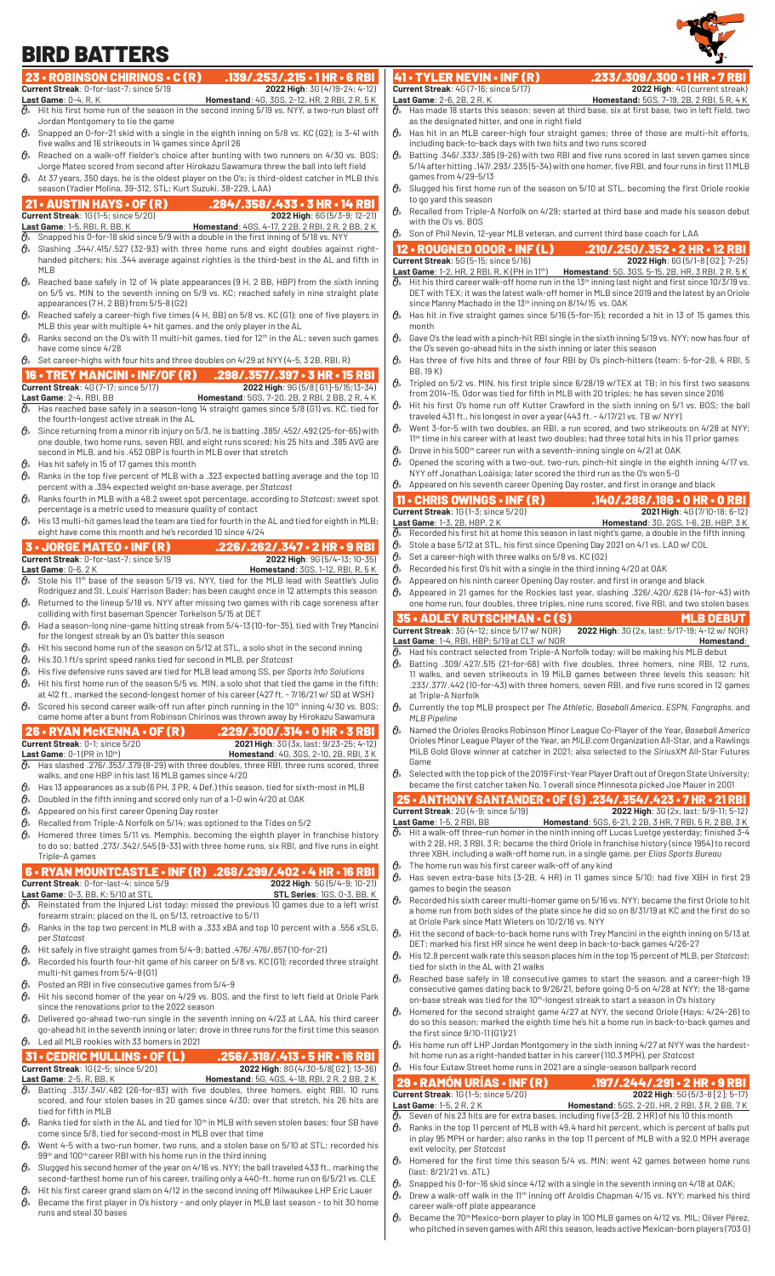# BIRD BATTERS



|                  | <b>BIRD BATTERS</b>                                                                                                                                                                                         |                                                                                                                                                                                                                 |                                                                                           |
|------------------|-------------------------------------------------------------------------------------------------------------------------------------------------------------------------------------------------------------|-----------------------------------------------------------------------------------------------------------------------------------------------------------------------------------------------------------------|-------------------------------------------------------------------------------------------|
|                  | 23 • ROBINSON CHIRINOS • C (R)<br>$.139/.253/.215 \cdot 1$ HR $\cdot$ 6 RBI                                                                                                                                 | 41 • TYLER NEVIN • INF (R)                                                                                                                                                                                      | .233/.309/.300 • 1 HR • 7 RBI                                                             |
|                  | 2022 High: 3G (4/19-24; 4-12)<br>Current Streak: 0-for-last-7: since 5/19                                                                                                                                   | <b>Current Streak: 4G (7-16; since 5/17)</b>                                                                                                                                                                    | 2022 High: 4G (current streak)                                                            |
|                  | <b>Last Game: 0-4, R, K</b><br>Homestand: 4G, 3GS, 2-12, HR, 2 RBI, 2 R, 5 K                                                                                                                                | Last Game: 2-6, 2B, 2R, K                                                                                                                                                                                       | <b>Homestand:</b> 5GS, 7-19, 2B, 2RBI, 5R, 4K                                             |
|                  | $\mathcal{O}_k$ Hit his first home run of the season in the second inning 5/19 vs. NYY, a two-run blast off<br>Jordan Montgomery to tie the game                                                            | $\mathcal{O}_k$ Has made 18 starts this season: seven at third base, six at first base, two in left field, two<br>as the designated hitter, and one in right field                                              |                                                                                           |
|                  | $\Theta_{\rm k}$ Snapped an 0-for-21 skid with a single in the eighth inning on 5/8 vs. KC (G2); is 3-41 with                                                                                               | $\theta$<br>Has hit in an MLB career-high four straight games; three of those are multi-hit efforts,                                                                                                            |                                                                                           |
|                  | five walks and 16 strikeouts in 14 games since April 26                                                                                                                                                     | including back-to-back days with two hits and two runs scored                                                                                                                                                   |                                                                                           |
|                  | $\theta_{k}$ Reached on a walk-off fielder's choice after bunting with two runners on 4/30 vs. BOS;<br>Jorge Mateo scored from second after Hirokazu Sawamura threw the ball into left field                | $\theta$<br>Batting .346/.333/.385 (9-26) with two RBI and five runs scored in last seven games since<br>5/14 after hitting .147/.293/.235 (5-34) with one homer, five RBI, and four runs in first 11 MLB       |                                                                                           |
|                  | $\mathcal{O}_k$ At 37 years, 350 days, he is the oldest player on the O's; is third-oldest catcher in MLB this                                                                                              | games from 4/29-5/13                                                                                                                                                                                            |                                                                                           |
|                  | season (Yadier Molina, 39-312, STL; Kurt Suzuki, 38-229, LAA)                                                                                                                                               | Slugged his first home run of the season on 5/10 at STL, becoming the first Oriole rookie<br>$\theta_{s}$                                                                                                       |                                                                                           |
|                  | 21 • AUSTIN HAYS • OF $(R)$<br>.284/.358/.433 - 3 HR - 14 RBI                                                                                                                                               | to go yard this season                                                                                                                                                                                          |                                                                                           |
|                  | <b>Current Streak: 1G (1-5; since 5/20)</b><br>2022 High: 6G (5/3-9; 12-21)                                                                                                                                 | Recalled from Triple-A Norfolk on 4/29; started at third base and made his season debut<br>$\theta$ .<br>with the O's vs. BOS                                                                                   |                                                                                           |
|                  | Last Game: 1-5, RBI, R, BB, K<br><b>Homestand:</b> 4GS, 4-17, 2 2B, 2 RBI, 2 R, 2 BB, 2 K<br>$\theta$ Snapped his 0-for-18 skid since 5/9 with a double in the first inning of 5/18 vs. NYY                 | $\theta$ Son of Phil Nevin, 12-year MLB veteran, and current third base coach for LAA                                                                                                                           |                                                                                           |
|                  | $\mathcal{O}_{\ell}$ Slashing .344/.415/.527 (32-93) with three home runs and eight doubles against right-                                                                                                  | 12 • ROUGNED ODOR • INF (L)                                                                                                                                                                                     | .210/.250/.352 • 2 HR • 12 RBI                                                            |
|                  | handed pitchers; his .344 average against righties is the third-best in the AL and fifth in                                                                                                                 | Current Streak: 5G (5-15; since 5/16)                                                                                                                                                                           | 2022 High: 6G (5/1-8 [G2]; 7-25)                                                          |
|                  | MLB<br>$\mathcal{O}_k$ Reached base safely in 12 of 14 plate appearances (9 H, 2 BB, HBP) from the sixth inning                                                                                             | Last Game: 1-2, HR, 2 RBI, R, K (PH in 11 <sup>th</sup> ) Homestand: 5G, 3GS, 5-15, 2B, HR, 3 RBI, 2 R, 5 K<br>Hit his third career walk-off home run in the 13th inning last night and first since 10/3/19 vs. |                                                                                           |
|                  | on 5/5 vs. MIN to the seventh inning on 5/9 vs. KC; reached safely in nine straight plate                                                                                                                   | DET with TEX; it was the latest walk-off homer in MLB since 2019 and the latest by an Oriole                                                                                                                    |                                                                                           |
|                  | appearances $(7 H, 2 BB)$ from $5/5-8$ (G2)                                                                                                                                                                 | since Manny Machado in the 13th inning on 8/14/15 vs. OAK                                                                                                                                                       |                                                                                           |
|                  | $\mathcal{O}_k$ Reached safely a career-high five times (4 H, BB) on 5/8 vs. KC (G1); one of five players in<br>MLB this year with multiple 4+ hit games, and the only player in the AL                     | $\theta_{s}$<br>Has hit in five straight games since 5/16 (5-for-15); recorded a hit in 13 of 15 games this                                                                                                     |                                                                                           |
| $\theta$         | Ranks second on the O's with 11 multi-hit games, tied for $12th$ in the AL; seven such games                                                                                                                | month<br>Gave O's the lead with a pinch-hit RBI single in the sixth inning 5/19 vs. NYY; now has four of                                                                                                        |                                                                                           |
|                  | have come since 4/28                                                                                                                                                                                        | the O's seven go-ahead hits in the sixth inning or later this season                                                                                                                                            |                                                                                           |
|                  | $\mathcal{O}_{\mathcal{P}}$ Set career-highs with four hits and three doubles on 4/29 at NYY (4-5, 3 2B, RBI, R)                                                                                            | $\theta_{s}$<br>Has three of five hits and three of four RBI by O's pinch-hitters (team: 5-for-28, 4 RBI, 5                                                                                                     |                                                                                           |
|                  | 16 • TREY MANCINI • INF/OF (R)<br>$.298/.357/.397 \cdot 3 HR \cdot 15 RBI$                                                                                                                                  | BB, 19 K)<br>Tripled on 5/2 vs. MIN, his first triple since 6/28/19 w/TEX at TB; in his first two seasons                                                                                                       |                                                                                           |
|                  | 2022 High: 9G (5/8 [G1]-5/15;13-34)<br><b>Current Streak: 4G (7-17; since 5/17)</b><br>Last Game: 2-4, RBI, BB<br><b>Homestand:</b> 5GS, 7-20, 2B, 2 RBI, 2 BB, 2 R, 4 K                                    | from 2014-15, Odor was tied for fifth in MLB with 20 triples; he has seven since 2016                                                                                                                           |                                                                                           |
|                  | $\mathcal{O}_k$ Has reached base safely in a season-long 14 straight games since 5/8 (G1) vs. KC, tied for                                                                                                  | Hit his first O's home run off Kutter Crawford in the sixth inning on 5/1 vs. BOS; the ball<br>$\theta_{s}$                                                                                                     |                                                                                           |
|                  | the fourth-longest active streak in the AL                                                                                                                                                                  | traveled 431 ft., his longest in over a year (443 ft. - 4/17/21 vs. TB w/ NYY)<br>$\theta_{s}$                                                                                                                  |                                                                                           |
|                  | $\theta_{\rm k}$ Since returning from a minor rib injury on 5/3, he is batting .385/.452/.492 (25-for-65) with<br>one double, two home runs, seven RBI, and eight runs scored; his 25 hits and .385 AVG are | Went 3-for-5 with two doubles, an RBI, a run scored, and two strikeouts on 4/28 at NYY;<br>$11th$ time in his career with at least two doubles; had three total hits in his 11 prior games                      |                                                                                           |
|                  | second in MLB, and his .452 OBP is fourth in MLB over that stretch                                                                                                                                          | $\theta_{s}$<br>Drove in his 500 <sup>th</sup> career run with a seventh-inning single on 4/21 at OAK                                                                                                           |                                                                                           |
| $\mathcal{O}_x$  | Has hit safely in 15 of 17 games this month                                                                                                                                                                 | $\theta_{s}$<br>Opened the scoring with a two-out, two-run, pinch-hit single in the eighth inning 4/17 vs.                                                                                                      |                                                                                           |
| 0,               | Ranks in the top five percent of MLB with a .323 expected batting average and the top 10                                                                                                                    | NYY off Jonathan Loáisiga; later scored the third run as the O's won 5-0<br>$\mathcal{O}_k$ Appeared on his seventh career Opening Day roster, and first in orange and black                                    |                                                                                           |
| $\theta_{\rm a}$ | percent with a .394 expected weight on-base average, per Statcast<br>Ranks fourth in MLB with a 48.2 sweet spot percentage, according to Statcast; sweet spot                                               | $11 \cdot$ CHRIS OWINGS $\cdot$ INF (R)                                                                                                                                                                         | .140/.288/.186 • 0 HR • 0 RBI                                                             |
|                  | percentage is a metric used to measure quality of contact                                                                                                                                                   | <b>Current Streak: 1G (1-3; since 5/20)</b>                                                                                                                                                                     | 2021 High: 4G (7/10-18; 6-12)                                                             |
|                  | $\Theta_{k}$ His 13 multi-hit games lead the team are tied for fourth in the AL and tied for eighth in MLB;                                                                                                 | Last Game: 1-3, 2B, HBP, 2K                                                                                                                                                                                     | <b>Homestand:</b> 3G, 2GS, 1-6, 2B, HBP, 3K                                               |
|                  | eight have come this month and he's recorded 10 since 4/24                                                                                                                                                  | Recorded his first hit at home this season in last night's game, a double in the fifth inning<br>0,                                                                                                             |                                                                                           |
|                  | <b>3 - JORGE MATEO - INF (R)</b><br>.226/.262/.347 • 2 HR • 9 RBI<br>Current Streak: 0-for-last-7; since 5/19<br>2022 High: 9G (5/4-13; 10-35)                                                              | Ο»<br>Stole a base 5/12 at STL, his first since Opening Day 2021 on 4/1 vs. LAD w/ COL<br>0,<br>Set a career-high with three walks on 5/8 vs. KC (G2)                                                           |                                                                                           |
|                  | Last Game: $0-6, 2K$<br><b>Homestand: 3GS, 1-12, RBI, R, 5K</b>                                                                                                                                             | $\theta$ .<br>Recorded his first O's hit with a single in the third inning 4/20 at OAK                                                                                                                          |                                                                                           |
|                  | $\mathcal{O}_{\ell}$ Stole his 11 <sup>th</sup> base of the season 5/19 vs. NYY, tied for the MLB lead with Seattle's Julio                                                                                 | $\theta$<br>Appeared on his ninth career Opening Day roster, and first in orange and black                                                                                                                      |                                                                                           |
|                  | Rodríguez and St. Louis' Harrison Bader; has been caught once in 12 attempts this season                                                                                                                    | 0,<br>Appeared in 21 games for the Rockies last year, slashing .326/.420/.628 (14-for-43) with                                                                                                                  |                                                                                           |
|                  |                                                                                                                                                                                                             |                                                                                                                                                                                                                 |                                                                                           |
|                  | $\mathcal{O}_n$ Returned to the lineup 5/18 vs. NYY after missing two games with rib cage soreness after                                                                                                    | one home run, four doubles, three triples, nine runs scored, five RBI, and two stolen bases                                                                                                                     |                                                                                           |
|                  | colliding with first baseman Spencer Torkelson 5/15 at DET<br>$\hat{\theta}_s$ Had a season-long nine-game hitting streak from 5/4-13 (10-for-35), tied with Trey Mancini                                   | 35 • ADLEY RUTSCHMAN • C (S)                                                                                                                                                                                    | <b>MLB DEBUT</b>                                                                          |
|                  | for the longest streak by an O's batter this season                                                                                                                                                         | Current Streak: 3G (4-12; since 5/17 w/ NOR)<br>Last Game: 1-4, RBI, HBP; 5/19 at CLT w/ NOR                                                                                                                    | 2022 High: 3G (2x, last: 5/17-19; 4-12 w/ NOR)<br>Homestand:                              |
| 0,               | Hit his second home run of the season on 5/12 at STL, a solo shot in the second inning                                                                                                                      | Had his contract selected from Triple-A Norfolk today; will be making his MLB debut<br>$\theta$                                                                                                                 |                                                                                           |
| 0,<br>0,         | His 30.1 ft/s sprint speed ranks tied for second in MLB, per Statcast                                                                                                                                       | Batting .309/.427/.515 (21-for-68) with five doubles, three homers, nine RBI, 12 runs,                                                                                                                          |                                                                                           |
| $\theta_{s}$     | His five defensive runs saved are tied for MLB lead among SS, per Sports Info Solutions<br>Hit his first home run of the season 5/5 vs. MIN, a solo shot that tied the game in the fifth;                   | 11 walks, and seven strikeouts in 19 MiLB games between three levels this season; hit                                                                                                                           | .233/.377/.442 (10-for-43) with three homers, seven RBI, and five runs scored in 12 games |
|                  | at 412 ft., marked the second-longest homer of his career (427 ft. - 7/16/21 w/ SD at WSH)                                                                                                                  | at Triple-A Norfolk                                                                                                                                                                                             |                                                                                           |
| $\theta_{s}$     | Scored his second career walk-off run after pinch running in the 10 <sup>th</sup> inning 4/30 vs. BOS;                                                                                                      | Currently the top MLB prospect per The Athletic, Baseball America, ESPN, Fangraphs, and<br>$\theta$                                                                                                             |                                                                                           |
|                  | came home after a bunt from Robinson Chirinos was thrown away by Hirokazu Sawamura                                                                                                                          | <b>MLB Pipeline</b><br>$\theta$<br>Named the Orioles Brooks Robinson Minor League Co-Player of the Year, Baseball America                                                                                       |                                                                                           |
|                  | 26 • RYAN McKENNA • OF $(R)$<br>$.229/.300/.314.0$ HR $.3$ RBI<br>Current Streak: 0-1; since 5/20<br>2021 High: 3G (3x, last: 9/23-25; 4-12)                                                                | Orioles Minor League Player of the Year, an MiLB.com Organization All-Star, and a Rawlings                                                                                                                      |                                                                                           |
|                  | Last Game: $0-1$ (PR in $10th$ )<br>Homestand: 4G, 3GS, 2-10, 2B, RBI, 3K                                                                                                                                   | MiLB Gold Glove winner at catcher in 2021; also selected to the SiriusXM All-Star Futures                                                                                                                       |                                                                                           |
|                  | $\hat{\theta}_k$ Has slashed .276/.353/.379 (8-29) with three doubles, three RBI, three runs scored, three                                                                                                  | Game<br>Selected with the top pick of the 2019 First-Year Player Draft out of Oregon State University;<br>$\theta_{s}$                                                                                          |                                                                                           |
| $\theta_{\rm a}$ | walks, and one HBP in his last 16 MLB games since 4/20<br>Has 13 appearances as a sub (6 PH, 3 PR, 4 Def.) this season, tied for sixth-most in MLB                                                          | became the first catcher taken No. 1 overall since Minnesota picked Joe Mauer in 2001                                                                                                                           |                                                                                           |
| 0,               | Doubled in the fifth inning and scored only run of a 1-0 win 4/20 at OAK                                                                                                                                    | 25 • ANTHONY SANTANDER • OF (S) .234/.354/.423 • 7 HR • 21 RBI                                                                                                                                                  |                                                                                           |
| 0,               | Appeared on his first career Opening Day roster                                                                                                                                                             | <b>Current Streak: 2G (4-9; since 5/19)</b>                                                                                                                                                                     | 2022 High: 3G (2x, last: 5/9-11; 5-12)                                                    |
| 0,               | Recalled from Triple-A Norfolk on 5/14; was optioned to the Tides on 5/2                                                                                                                                    | <b>Last Game: 1-5, 2 RBI, BB</b><br>$\partial\!\!\!/_*$ Hit a walk-off three-run homer in the ninth inning off Lucas Luetge yesterday; finished 3-4                                                             | <b>Homestand:</b> 5GS, 6-21, 2 2B, 3 HR, 7 RBI, 5 R, 2 BB, 3 K                            |
| $\theta_{s}$     | Homered three times 5/11 vs. Memphis, becoming the eighth player in franchise history<br>to do so; batted .273/.342/.545 (9-33) with three home runs, six RBI, and five runs in eight                       | with 2 2B, HR, 3 RBI, 3 R; became the third Oriole in franchise history (since 1954) to record                                                                                                                  |                                                                                           |
|                  | Triple-A games                                                                                                                                                                                              | three XBH, including a walk-off home run, in a single game, per Elias Sports Bureau                                                                                                                             |                                                                                           |
|                  | 6 . RYAN MOUNTCASTLE . INF (R) .268/.299/.402 . 4 HR . 16 RBI                                                                                                                                               | $\theta$<br>The home run was his first career walk-off of any kind<br>$\theta$<br>Has seven extra-base hits (3-2B, 4 HR) in 11 games since 5/10; had five XBH in first 29                                       |                                                                                           |
|                  | 2022 High: 5G (5/4-9; 10-21)<br>Current Streak: 0-for-last-4; since 5/9                                                                                                                                     | games to begin the season                                                                                                                                                                                       |                                                                                           |
|                  | Last Game: 0-3, BB, K; 5/10 at STL<br><b>STL Series: 1GS, 0-3, BB, K</b><br>$\mathcal{O}_k$ Reinstated from the Injured List today; missed the previous 10 games due to a left wrist                        | Recorded his sixth career multi-homer game on 5/16 vs. NYY; became the first Oriole to hit                                                                                                                      |                                                                                           |
|                  | forearm strain; placed on the IL on 5/13, retroactive to 5/11                                                                                                                                               | a home run from both sides of the plate since he did so on 8/31/19 at KC and the first do so                                                                                                                    |                                                                                           |
|                  | $\mathcal{O}_k$ Ranks in the top two percent in MLB with a .333 xBA and top 10 percent with a .556 xSLG,                                                                                                    | at Oriole Park since Matt Wieters on 10/2/16 vs. NYY<br>$\theta$<br>Hit the second of back-to-back home runs with Trey Mancini in the eighth inning on 5/13 at                                                  |                                                                                           |
| $\theta$         | per Statcast<br>Hit safely in five straight games from 5/4-9; batted .476/.476/.857 (10-for-21)                                                                                                             | DET; marked his first HR since he went deep in back-to-back games 4/26-27                                                                                                                                       |                                                                                           |
| $\theta$         | Recorded his fourth four-hit game of his career on 5/8 vs. KC (G1); recorded three straight                                                                                                                 | His 12.8 percent walk rate this season places him in the top 15 percent of MLB, per Statcast;<br>$\theta$                                                                                                       |                                                                                           |
|                  | multi-hit games from 5/4-8(G1)                                                                                                                                                                              | tied for sixth in the AL with 21 walks<br>$\theta_{s}$<br>Reached base safely in 18 consecutive games to start the season, and a career-high 19                                                                 |                                                                                           |
| $\mathcal{O}_x$  | Posted an RBI in five consecutive games from 5/4-9                                                                                                                                                          |                                                                                                                                                                                                                 | consecutive games dating back to 9/26/21, before going 0-5 on 4/28 at NYY; the 18-game    |
| $\theta_{s}$     | Hit his second homer of the year on 4/29 vs. BOS, and the first to left field at Oriole Park<br>since the renovations prior to the 2022 season                                                              | on-base streak was tied for the 10 <sup>th</sup> -longest streak to start a season in O's history                                                                                                               |                                                                                           |
| $\theta$         | Delivered go-ahead two-run single in the seventh inning on 4/23 at LAA, his third career                                                                                                                    | $\theta$<br>Homered for the second straight game 4/27 at NYY, the second Oriole (Hays; 4/24-26) to<br>do so this season; marked the eighth time he's hit a home run in back-to-back games and                   |                                                                                           |
|                  | go-ahead hit in the seventh inning or later; drove in three runs for the first time this season                                                                                                             | the first since 9/10-11(G1)/21                                                                                                                                                                                  |                                                                                           |
|                  | $\theta_{\lambda}$ Led all MLB rookies with 33 homers in 2021                                                                                                                                               | His home run off LHP Jordan Montgomery in the sixth inning 4/27 at NYY was the hardest-                                                                                                                         |                                                                                           |
|                  | 31 • CEDRIC MULLINS • OF (L)<br>.256/.318/.413 • 5 HR • 16 RBI                                                                                                                                              | hit home run as a right-handed batter in his career (110.3 MPH), per Statcast<br>$\theta$ His four Eutaw Street home runs in 2021 are a single-season ballpark record                                           |                                                                                           |
|                  | <b>Current Streak: 1G (2-5; since 5/20)</b><br>2022 High: 8G (4/30-5/8 G2]; 13-36)<br>Last Game: 2-5, R, BB, K<br><b>Homestand:</b> 5G, 4GS, 4-18, RBI, 2R, 2BB, 2K                                         |                                                                                                                                                                                                                 |                                                                                           |
|                  | $\hat{\theta}_k$ Batting .313/.341/.482 (26-for-83) with five doubles, three homers, eight RBI, 10 runs                                                                                                     | 29 - RAMÓN URÍAS - INF (R)<br><b>Current Streak: 1G (1-5; since 5/20)</b>                                                                                                                                       | <b>197/.244/.291 • 2 HR • 9 RBI</b><br>2022 High: 5G (5/3-8 [2]; 5-17)                    |
|                  | scored, and four stolen bases in 20 games since 4/30; over that stretch, his 26 hits are<br>tied for fifth in MLB                                                                                           | <b>Last Game: 1-5, 2 R, 2 K</b>                                                                                                                                                                                 | <b>Homestand:</b> 5GS, 2-20, HR, 2 RBI, 3 R, 2 BB, 7 K                                    |
|                  | $\mathcal{O}_k$ Ranks tied for sixth in the AL and tied for 10 <sup>th</sup> in MLB with seven stolen bases; four SB have                                                                                   | Seven of his 23 hits are for extra bases, including five (3-2B, 2 HR) of his 10 this month<br>$\theta$                                                                                                          |                                                                                           |
|                  | come since 5/8, tied for second-most in MLB over that time<br>$\mathcal{O}_k$ Went 4-5 with a two-run homer, two runs, and a stolen base on 5/10 at STL; recorded his                                       | Ranks in the top 11 percent of MLB with 49.4 hard hit percent, which is percent of balls put<br>exit velocity, per Statcast                                                                                     | in play 95 MPH or harder; also ranks in the top 11 percent of MLB with a 92.0 MPH average |

- 99<sup>th</sup> and 100<sup>th</sup> career RBI with his home run in the third inning
- $\theta$  Slugged his second homer of the year on 4/16 vs. NYY; the ball traveled 433 ft., marking the second-farthest home run of his career, trailing only a 440-ft. home run on 6/5/21 vs. CLE
- $\vartheta$   $\!\!\delta$   $\!\!$  Hit his first career grand slam on 4/12 in the second inning off Milwaukee LHP Eric Lauer  $\vartheta$  Became the first player in O's history - and only player in MLB last season - to hit 30 home runs and steal 30 bases
- $\theta$  Homered for the first time this season 5/4 vs. MIN; went 42 games between home runs (last: 8/21/21 vs. ATL)  $\mathcal{O}_{\!\!s_-}$  Snapped his 0-for-16 skid since 4/12 with a single in the seventh inning on 4/18 at OAK;
- $\hat{\theta}_s$  Drew a walk-off walk in the 11<sup>th</sup> inning off Aroldis Chapman 4/15 vs. NYY; marked his third career walk-off plate appearance
- $\vartheta_{\!s}\!$  Became the 70<sup>th</sup> Mexico-born player to play in 100 MLB games on 4/12 vs. MIL; Oliver Pérez, who pitched in seven games with ARI this season, leads active Mexican-born players (703 G)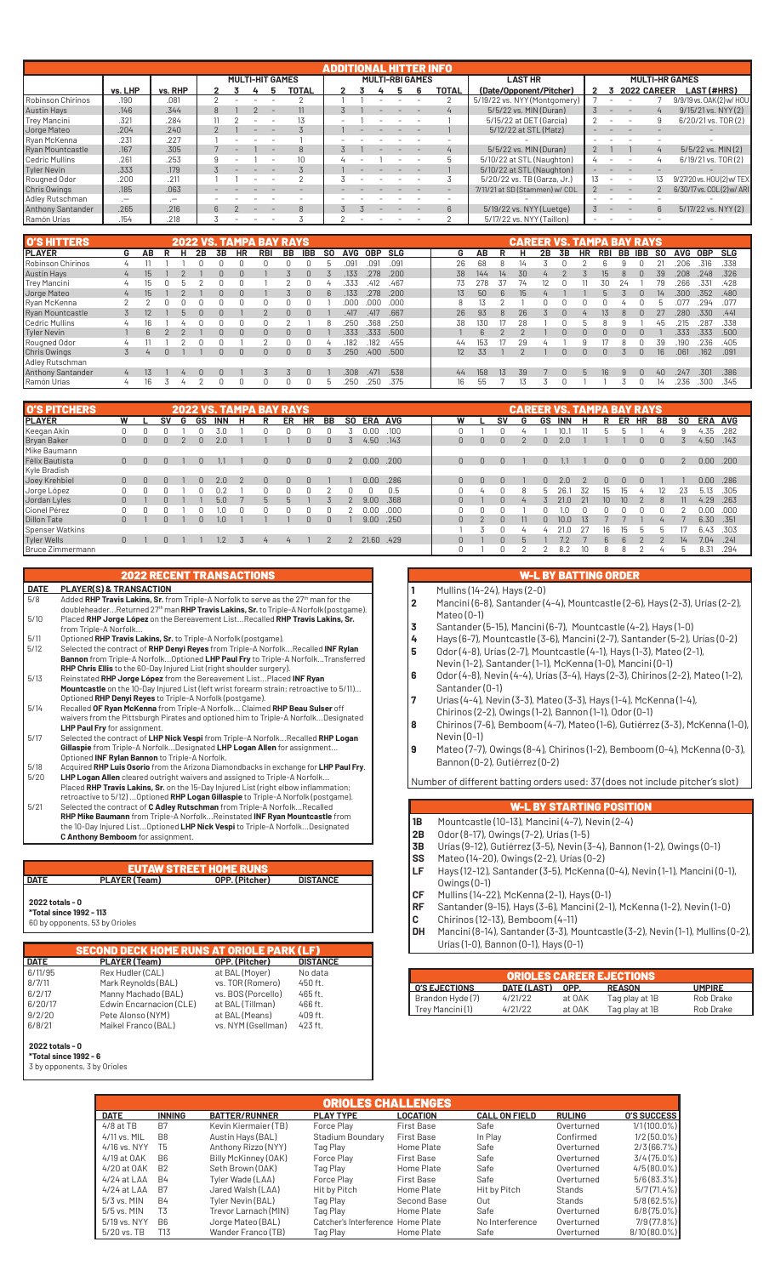|                          |           |             |  |  | <b>MULTI-HIT GAMES</b> |  |                  |  |  |  |  | <b>MULTI-RBI GAMES</b> |             | <b>LAST HR</b>                 |  |                    |                  | <b>MULTI-HR GAMES</b>     |
|--------------------------|-----------|-------------|--|--|------------------------|--|------------------|--|--|--|--|------------------------|-------------|--------------------------------|--|--------------------|------------------|---------------------------|
|                          | vs. LHP   | vs. RHP     |  |  |                        |  | TOTAL            |  |  |  |  |                        | TOTAL       | (Date/Opponent/Pitcher)        |  | <b>2022 CAREER</b> |                  | <b>LAST (#HRS)</b>        |
| Robinson Chirinos        | .190      | .081        |  |  |                        |  |                  |  |  |  |  |                        |             | 5/19/22 vs. NYY (Montgomery)   |  |                    |                  | 9/9/19 vs. 0AK(2) w/ HOU  |
| <b>Austin Hays</b>       | .146      | .344        |  |  |                        |  |                  |  |  |  |  |                        |             | 5/5/22 vs. MIN (Duran)         |  |                    |                  | 9/15/21 vs. NYY (2)       |
| Trey Mancini             | .321      | .284        |  |  |                        |  |                  |  |  |  |  |                        |             | 5/15/22 at DET (García)        |  |                    |                  | 6/20/21 vs. TOR(2)        |
| Jorge Mateo              | .204      | .240        |  |  |                        |  |                  |  |  |  |  |                        |             | 5/12/22 at STL (Matz)          |  |                    |                  |                           |
| Ryan McKenna             | .231      | .227        |  |  |                        |  |                  |  |  |  |  |                        |             |                                |  |                    |                  |                           |
| Ryan Mountcastle         | .167      | .305        |  |  |                        |  | $\mathcal{B}$    |  |  |  |  |                        |             | 5/5/22 vs. MIN (Duran)         |  |                    | $\overline{4}$   | 5/5/22 vs. MIN(2)         |
| Cedric Mullins           | .261      | .253        |  |  |                        |  | 10 <sup>10</sup> |  |  |  |  |                        |             | 5/10/22 at STL (Naughton)      |  |                    |                  | 6/19/21 vs. TOR(2)        |
| Tyler Nevin              | .333      | .179        |  |  |                        |  |                  |  |  |  |  |                        |             | 5/10/22 at STL (Naughton)      |  |                    |                  |                           |
| Rougned Odor             | .200      | .211        |  |  |                        |  |                  |  |  |  |  |                        |             | 5/20/22 vs. TB (Garza, Jr.)    |  |                    |                  | 9/27/20 vs. HOU(2) w/ TEX |
| Chris Owings             | .185      | .063        |  |  |                        |  |                  |  |  |  |  |                        |             | 7/11/21 at SD (Stammen) w/ COL |  |                    |                  | 6/30/17 vs. COL(2) w/ ARI |
| Adley Rutschman          | $\cdot$ - | $\cdot$ $-$ |  |  |                        |  |                  |  |  |  |  |                        |             |                                |  |                    |                  |                           |
| <b>Anthony Santander</b> | .265      | .216        |  |  |                        |  | $\mathcal{B}$    |  |  |  |  |                        | $6^{\circ}$ | 5/19/22 vs. NYY (Luetge)       |  |                    | $6 \overline{6}$ | 5/17/22 vs. NYY (2)       |
| Ramón Urías              | .154      | .218        |  |  |                        |  |                  |  |  |  |  |                        |             | 5/17/22 vs. NYY (Taillon)      |  |                    |                  |                           |

| <b>O'S HITTERS</b>       | <b>2022 VS. TAMPA BAY RAYS</b> |     |  |              |    |           |           |            |              |            |           |            |            |            |  |                 |     | <b>CAREER VS. TAMPA BAY RAYS</b> |    |    |    |    |     |    |     |           |      |            |      |
|--------------------------|--------------------------------|-----|--|--------------|----|-----------|-----------|------------|--------------|------------|-----------|------------|------------|------------|--|-----------------|-----|----------------------------------|----|----|----|----|-----|----|-----|-----------|------|------------|------|
| <b>IPLAYER</b>           | G                              | AВ  |  | н            | 2Β | <b>3B</b> | <b>HR</b> | <b>RBI</b> | ВB           | <b>IBB</b> | <b>SO</b> | <b>AVG</b> | <b>OBP</b> | <b>SLG</b> |  | G               | АΒ  |                                  |    | 2B | 3B | HR | RBI | BB | IBB | <b>SO</b> | AVG  | <b>OBP</b> | SLG  |
| Robinson Chirinos        |                                |     |  |              |    |           |           |            |              |            |           |            | 091        | .091       |  | 26              | 68  |                                  |    |    |    |    |     |    |     |           | 2በ6  | .316       | .338 |
| Austin Hays              | $4^{\circ}$                    | 15  |  |              |    |           |           |            |              |            |           | .133       | .278       | .200       |  | 38              | 144 | 14                               | 30 |    |    |    | 15. |    |     | 39        | 208  | .248       | .326 |
| Trey Mancini             | $\overline{u}$                 | 1b. |  |              |    |           |           |            |              |            |           | .333       | .412       | .467       |  | 73              | 278 | 37                               | 74 |    |    |    | 3Λ  | 24 |     | 79        | 266  | .331       | .428 |
| Jorge Mateo              | $\overline{4}$                 | 15  |  |              |    | n         |           |            |              |            |           | 133        | 278        | .200       |  | 13 <sup>7</sup> | 50  | $6^{\circ}$                      | 15 |    |    |    |     |    |     |           | 300  | 352        | .480 |
| Ryan McKenna             |                                |     |  |              |    |           |           |            |              |            |           | .000       | .ooc       | .000       |  |                 | 13  |                                  |    |    |    |    |     |    |     |           | 077  | 294        | .077 |
| <b>Ryan Mountcastle</b>  |                                | 12  |  | $\mathsf{h}$ |    | n         |           |            | $\Omega$     | $\Omega$   |           | .417       | .417       | .667       |  | 26              | 93  | 8                                | 26 |    |    |    | 13  |    |     | 27        | 280  | .330       | .441 |
| Cedric Mullins           | $\overline{u}$                 | 16  |  |              |    |           |           |            |              |            |           | 25C        | 368        | .250       |  | 38              | 130 |                                  | 28 |    |    |    |     |    |     | 45        | 215  | 287        | .338 |
| Tyler Nevin              |                                | 6.  |  |              |    |           |           | n.         | <sup>n</sup> |            |           | .333       | .333       | .500       |  |                 |     |                                  |    |    |    | n. |     |    |     |           | 333  | 333        | .500 |
| Rougned Odor             | $\overline{u}$                 |     |  |              |    |           |           |            |              |            |           |            | .182       | .455       |  | 44              |     |                                  | 29 |    |    |    |     |    |     | 39        | 19N  | 236        | .405 |
| <b>Chris Owings</b>      | 3                              | 4   |  |              |    | 0         |           | n.         | $\Omega$     | $\Omega$   |           | .250       | .400       | .500       |  | 12 <sup>2</sup> | 33  |                                  |    |    |    | n. | n.  |    |     | 16        | .061 | .162       | .091 |
| Adley Rutschman          |                                |     |  |              |    |           |           |            |              |            |           |            |            |            |  |                 |     |                                  |    |    |    |    |     |    |     |           |      |            |      |
| <b>Anthony Santander</b> | $\overline{4}$                 |     |  |              |    |           |           |            |              |            |           | .308       | .471       | .538       |  | 44              | 158 | 13                               | 39 |    |    |    | 16  |    |     | 40        | .247 | .301       | .386 |
| Ramón Urías              | 4                              | 16  |  | 4            |    |           |           |            |              | 0          | h         | 250        | 250        | .375       |  | 16              | 55  |                                  |    |    |    |    |     |    |     | 14        | .236 | .300       | .345 |

| <b>O'S PITCHERS</b> |              |              |    |   |          |            |    | <b>2022 VS. TAMPA BAY RAYS</b> |                |          |              |     |       |      |  |              |               |              |    |              | <b>CAREER VS. TAMPA BAY RAYS</b> |    |             |          |              |                |     |                   |         |
|---------------------|--------------|--------------|----|---|----------|------------|----|--------------------------------|----------------|----------|--------------|-----|-------|------|--|--------------|---------------|--------------|----|--------------|----------------------------------|----|-------------|----------|--------------|----------------|-----|-------------------|---------|
| <b>PLAYER</b>       | W            |              | Sν | G | GS       | <b>INN</b> | н  | R                              | ER             | HR       | BB           | SO. | ERA   | AVG  |  | W            |               | sv           | G  | GS           | INN                              | н  | R           | ER       | HR           | BB             | SO. |                   | ERA AVG |
| Keegan Akin         | 0            |              |    |   |          | 3.0        |    |                                |                |          |              |     | 0.00  | .100 |  |              |               |              |    |              |                                  |    | h           |          |              |                |     | 4.35              | .282    |
| Bryan Baker         | $\mathbf{0}$ |              |    |   |          | 2.0        |    |                                |                |          | 0            |     | 4.50  | .143 |  | $\mathbf{0}$ | $\mathbf{0}$  | $\Omega$     |    |              | 2.0                              |    |             |          |              | $\Omega$       |     | 4.50              | .143    |
| Mike Baumann        |              |              |    |   |          |            |    |                                |                |          |              |     |       |      |  |              |               |              |    |              |                                  |    |             |          |              |                |     |                   |         |
| Félix Bautista      | $\mathbf{0}$ | $\Omega$     |    |   | $\Omega$ |            |    | 0.                             | $\mathbf{0}$   | $\Omega$ | $\mathbf{0}$ |     | 0.00  | .200 |  | $\Omega$     | $\mathbf{0}$  | $\Omega$     |    |              |                                  |    | $\Omega$    | $\Omega$ | $\mathbf{0}$ | $\Omega$       |     | 0.00              | .200    |
| Kyle Bradish        |              |              |    |   |          |            |    |                                |                |          |              |     |       |      |  |              |               |              |    |              |                                  |    |             |          |              |                |     |                   |         |
| Joey Krehbiel       | $\mathbf{0}$ | <sup>n</sup> |    |   | $\Omega$ | 2.0        | -2 | $\Omega$                       | $\Omega$       | n.       |              |     | 0.00  | .286 |  | $\Omega$     | $\cap$        | <sup>n</sup> |    | n.           | 2.0                              |    | n.          |          | $\cap$       |                |     | 0.00 <sub>1</sub> | .286    |
| Jorge López         | 0            |              |    |   |          |            |    |                                | 0              |          |              |     |       | 0.5  |  |              |               |              | 8  |              | 26.                              | 32 | ľb          | 15       |              |                | 23  | 5.13              | .305    |
| Jordan Lyles        | $\mathbf{0}$ |              |    |   |          | 5.0        |    | h.                             |                |          |              |     | 9.00  | .368 |  |              |               | $\cap$       |    |              | 21.0                             | 21 | 10          | 10       |              | 8              | 11  | 4.29              | .263    |
| Cionel Pérez        | $\Omega$     |              |    |   |          |            |    |                                |                |          |              |     | 0.00  | .000 |  |              |               |              |    | $\mathbf{L}$ |                                  |    |             |          |              | 0              |     | 0.00              | .000    |
| <b>Dillon Tate</b>  | $\mathbf{0}$ |              |    |   | $\Omega$ | 1.0        |    |                                |                | $\Omega$ | $\mathbf{0}$ |     | 9.00  | .250 |  | $\Omega$     | $\mathcal{D}$ | $\Omega$     | 11 |              | 10.0                             |    |             |          |              | $\overline{4}$ |     | 6.30              | .351    |
| Spenser Watkins     |              |              |    |   |          |            |    |                                |                |          |              |     |       |      |  |              |               |              |    |              |                                  |    |             | 1b.      |              |                |     | 6.43              | .303    |
| <b>Tyler Wells</b>  | $\Omega$     |              |    |   |          | 1.2        |    | 4                              | $\overline{4}$ |          |              |     | 21.60 | .429 |  |              |               | $\cap$       | 5  |              |                                  |    | $6^{\circ}$ | Բ        |              |                | 14  | 7.04              | .241    |
| Bruce Zimmermann    |              |              |    |   |          |            |    |                                |                |          |              |     |       |      |  |              |               |              |    |              | 8.2                              |    |             |          |              |                | 'n  | 8.31              | .294    |

## 2022 RECENT TRANSACTIONS

# **DATE PLAYER(S) & TRANSACTION**<br>5/8 Added **RHP Travis Lakins, Sr.** free

- 5/8 Added **RHP Travis Lakins, Sr.** from Triple-A Norfolk to serve as the 27th man for the doubleheader...Returned 27th man **RHP Travis Lakins, Sr.** to Triple-A Norfolk (postgame). 5/10 Placed **RHP Jorge López** on the Bereavement List...Recalled **RHP Travis Lakins, Sr.**  from Triple-A Norfolk... 5/11 Optioned **RHP Travis Lakins, Sr.** to Triple-A Norfolk (postgame).
- 5/12 Selected the contract of **RHP Denyi Reyes** from Triple-A Norfolk...Recalled **INF Rylan Bannon** from Triple-A Norfolk...Optioned **LHP Paul Fry** to Triple-A Norfolk...Transferred
- **RHP Chris Ellis** to the 60-Day Injured List (right shoulder surgery).<br>5/13 Reinstated **RHP Jorge Lónez** from the Bereavement List Placed 5/13 Reinstated RHP Jorge López from the Bereavement List...Placed INF Ryan<br>Mountcastle on the 10-Day Injured List (left wrist forearm strain; retroactive to 5/11)...<br>Optioned RHP Denyi Reyes to Triple-A Norfolk (postgame)
- waivers from the Pittsburgh Pirates and optioned him to Triple-A Norfolk...Designated
- **LHP Paul Fry** for assignment. 5/17 Selected the contract of **LHP Nick Vespi** from Triple-A Norfolk...Recalled **RHP Logan Gillaspie** from Triple-A Norfolk...Designated **LHP Logan Allen** for assignment... Optioned **INF Rylan Bannon** to Triple-A Norfolk.
- 5/18 Acquired **RHP Luis Osorio** from the Arizona Diamondbacks in exchange for **LHP Paul Fry**. 5/20 **LHP Logan Allen** cleared outright waivers and assigned to Triple-A Norfolk... Placed **RHP Travis Lakins, Sr.** on the 15-Day Injured List (right elbow inflammation;
- retroactive to 5/12)...Optioned **RHP Logan Gillaspie** to Triple-A Norfolk (postgame).<br>Selected the contract of **C Adley Rutschman** from Triple-A Norfolk...Recalled<br>**RHP Miee Baumann** from Triple-A Norfolk...Reinstated INF **C Anthony Bemboom** for assignment.

# EUTAW STREET HOME RUNS

 **DATE PLAYER (Team) OPP. (Pitcher) DISTANCE 2022 totals - 0**

**\*Total since 1992 - 113** 60 by opponents, 53 by Orioles

#### SECOND DECK HOME RUNS AT ORIOLE PARK (LF) **DATE PLAYER (Team)**

| ----    |                         |                    | -------- |
|---------|-------------------------|--------------------|----------|
| 6/11/95 | Rex Hudler (CAL)        | at BAL (Moyer)     | No data  |
| 8/7/11  | Mark Reynolds (BAL)     | vs. TOR (Romero)   | 450 ft.  |
| 6/2/17  | Manny Machado (BAL)     | vs. BOS (Porcello) | 465 ft.  |
| 6/20/17 | Edwin Encarnacion (CLE) | at BAL (Tillman)   | 466 ft.  |
| 9/2/20  | Pete Alonso (NYM)       | at BAL (Means)     | 409 ft.  |
| 6/8/21  | Maikel Franco (BAL)     | vs. NYM (Gsellman) | 423 ft.  |
|         |                         |                    |          |
|         |                         |                    |          |

#### **2022 totals - 0 \*Total since 1992 - 6**

3 by opponents, 3 by Orioles

# W-L BY BATTING ORDER

- **1** Mullins (14-24), Hays (2-0)
- **2** Mancini (6-8), Santander (4-4), Mountcastle (2-6), Hays (2-3), Urías (2-2), Mateo (0-1)
- **3** Santander (5-15), Mancini (6-7), Mountcastle (4-2), Hays (1-0)
- **4** Hays (6-7), Mountcastle (3-6), Mancini (2-7), Santander (5-2), Urías (0-2)
- **5** Odor (4-8), Urías (2-7), Mountcastle (4-1), Hays (1-3), Mateo (2-1), Nevin (1-2), Santander (1-1), McKenna (1-0), Mancini (0-1)
- **6** Odor (4-8), Nevin (4-4), Urías (3-4), Hays (2-3), Chirinos (2-2), Mateo (1-2), Santander (0-1)
- **7** Urías (4-4), Nevin (3-3), Mateo (3-3), Hays (1-4), McKenna (1-4),
- Chirinos (2-2), Owings (1-2), Bannon (1-1), Odor (0-1)
- **8** Chirinos (7-6), Bemboom (4-7), Mateo (1-6), Gutiérrez (3-3), McKenna (1-0), Nevin (0-1)
- **9** Mateo (7-7), Owings (8-4), Chirinos (1-2), Bemboom (0-4), McKenna (0-3), Bannon (0-2), Gutiérrez (0-2)

Number of different batting orders used: 37 (does not include pitcher's slot)

# **L BY STARTING POSITION**

- **1B** Mountcastle (10-13), Mancini (4-7), Nevin (2-4)
- **2B** Odor (8-17), Owings (7-2), Urías (1-5)<br>**3B** Urías (9-12), Gutiérrez (3-5), Nevin (3
- **3B** Urías (9-12), Gutiérrez (3-5), Nevin (3-4), Bannon (1-2), Owings (0-1)<br>**SS** Mateo (14-20), Owings (2-2), Urías (0-2)
- **SS** Mateo (14-20), Owings (2-2), Urías (0-2)<br>**LF** Hays (12-12), Santander (3-5), McKenna
- **LF** Hays (12-12), Santander (3-5), McKenna (0-4), Nevin (1-1), Mancini (0-1), Owings (0-1)
- **CF** Mullins (14-22), McKenna (2-1), Hays (0-1)
	- **RF** Santander (9-15), Hays (3-6), Mancini (2-1), McKenna (1-2), Nevin (1-0)
	- **C** Chirinos (12-13), Bemboom (4-11)<br>**DH** Mancini (8-14), Santander (3-3), Me
	- **DH** Mancini (8-14), Santander (3-3), Mountcastle (3-2), Nevin (1-1), Mullins (0-2), Urías (1-0), Bannon (0-1), Hays (0-1)

|                        |             |        | <b>ORIOLES CAREER EJECTIONS</b> |               |
|------------------------|-------------|--------|---------------------------------|---------------|
| <b>I</b> O'S EJECTIONS | DATE (LAST) | OPP.   | <b>REASON</b>                   | <b>UMPIRE</b> |
| Brandon Hyde (7)       | 4/21/22     | at OAK | Tag play at 1B                  | Rob Drake     |
| Trey Mancini (1)       | 4/21/22     | at OAK | Tag play at 1B                  | Rob Drake     |

|                 |                |                      | <b>ORIOLES CHALLENGES</b>         |                   |                      |               |                    |
|-----------------|----------------|----------------------|-----------------------------------|-------------------|----------------------|---------------|--------------------|
| <b>DATE</b>     | <b>INNING</b>  | <b>BATTER/RUNNER</b> | <b>PLAY TYPE</b>                  | <b>LOCATION</b>   | <b>CALL ON FIELD</b> | <b>RULING</b> | <b>O'S SUCCESS</b> |
| $4/8$ at TB     | B7             | Kevin Kiermaier (TB) | Force Play                        | <b>First Base</b> | Safe                 | Overturned    | $1/1(100.0\%)$     |
| 4/11 vs. MIL    | B <sub>8</sub> | Austin Hays (BAL)    | Stadium Boundary                  | <b>First Base</b> | In Play              | Confirmed     | $1/2(50.0\%)$      |
| 4/16 vs. NYY    | T5             | Anthony Rizzo (NYY)  | Tag Play                          | Home Plate        | Safe                 | Overturned    | 2/3(66.7%)         |
| 4/19 at OAK     | B <sub>6</sub> | Billy McKinney (OAK) | Force Play                        | <b>First Base</b> | Safe                 | Overturned    | $3/4(75.0\%)$      |
| 4/20 at OAK     | <b>B2</b>      | Seth Brown (OAK)     | Tag Play                          | Home Plate        | Safe                 | Overturned    | $4/5(80.0\%)$      |
| $4/24$ at $LAA$ | <b>B4</b>      | Tyler Wade (LAA)     | Force Play                        | First Base        | Safe                 | Overturned    | $5/6(83.3\%)$      |
| $4/24$ at LAA   | B7             | Jared Walsh (LAA)    | Hit by Pitch                      | Home Plate        | Hit by Pitch         | Stands        | 5/7(71.4%          |
| $5/3$ vs. MIN   | <b>B4</b>      | Tyler Nevin (BAL)    | Tag Play                          | Second Base       | Out                  | <b>Stands</b> | $5/8(62.5\%)$      |
| $5/5$ vs. MIN   | T3             | Trevor Larnach (MIN) | Tag Play                          | Home Plate        | Safe                 | Overturned    | $6/8(75.0\%)$      |
| 5/19 vs. NYY    | B <sub>6</sub> | Jorge Mateo (BAL)    | Catcher's Interference Home Plate |                   | No Interference      | Overturned    | 7/9 (77.8%)        |
| 5/20 vs. TB     | T13            | Wander Franco (TB)   | Tag Plav                          | Home Plate        | Safe                 | Overturned    | 8/10 (80.0%)       |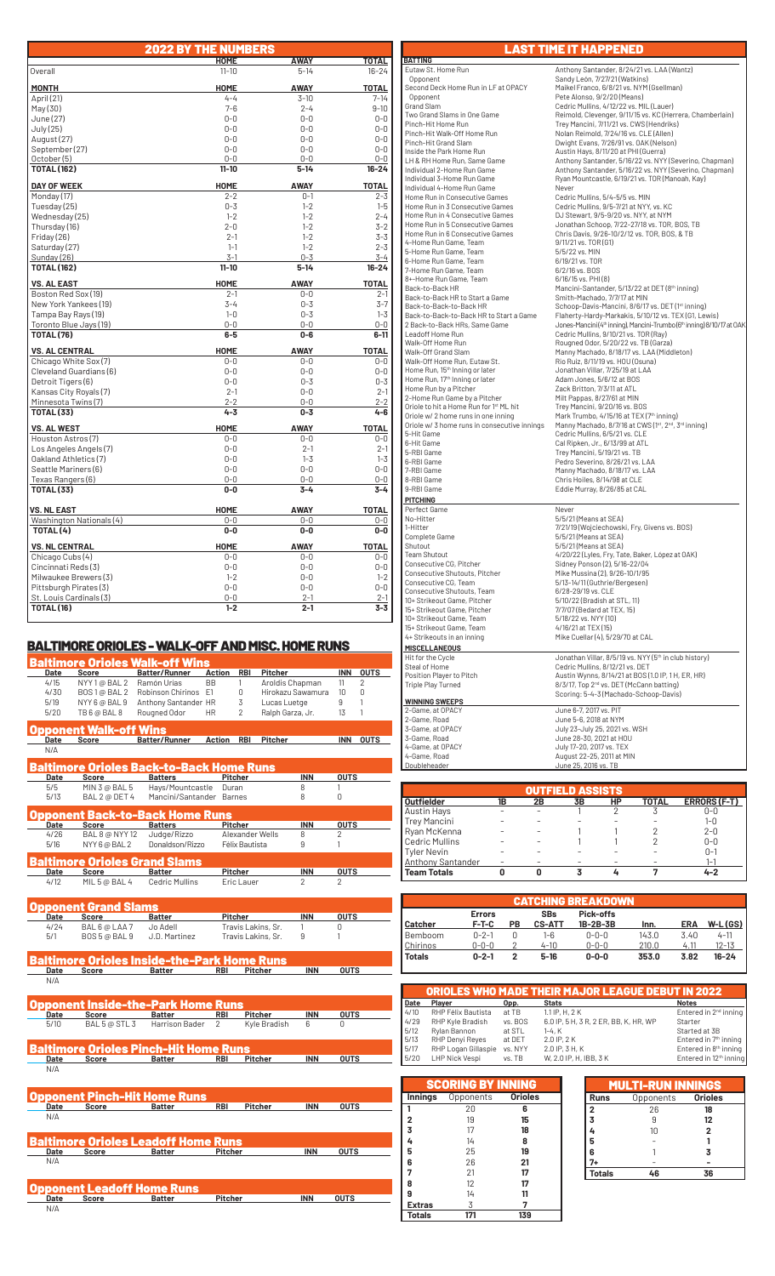|                                         | <b>2022 BY THE NUMBERS</b> |                    |                    |
|-----------------------------------------|----------------------------|--------------------|--------------------|
|                                         | <b>HOME</b>                | AWAY               | TOTAL              |
| Overall                                 | $11 - 10$                  | $5 - 14$           | $16 - 24$          |
| <b>MONTH</b>                            | <b>HOME</b>                | <b>AWAY</b>        | <b>TOTAL</b>       |
| April (21)                              | $4 - 4$                    | $3 - 10$           | $7 - 14$           |
| May(30)                                 | $7 - 6$                    | $2 - 4$            | $9 - 10$           |
| June (27)                               | $0-0$                      | $0 - 0$            | $0 - 0$            |
| July (25)                               | $0 - 0$                    | $0 - 0$            | $0 - 0$            |
| August (27)                             | $0 - 0$                    | $0 - 0$            | $0 - 0$            |
| September (27)                          | $0 - 0$                    | $0 - 0$            | $0 - 0$            |
| October (5)                             | $0 - 0$                    | $0 - 0$            | $0 - 0$            |
| <b>TOTAL (162)</b>                      | $11 - 10$                  | $5 - 14$           | $16 - 24$          |
| <b>DAY OF WEEK</b>                      | <b>HOME</b>                | <b>AWAY</b>        | <b>TOTAL</b>       |
| Monday (17)                             | $2 - 2$                    | $0 - 1$            | $2 - 3$            |
| Tuesday (25)                            | $0 - 3$                    | $1 - 2$            | $1 - 5$            |
| Wednesday (25)                          | $1 - 2$                    | $1 - 2$            | $2 - 4$            |
| Thursday (16)                           | $2 - 0$                    | $1 - 2$            | $3 - 2$            |
| Friday (26)                             | $2 - 1$                    | $1 - 2$            | $3 - 3$            |
| Saturday (27)                           | $1 - 1$                    | $1 - 2$            | $2 - 3$            |
| Sunday (26)                             | $3 - 1$                    | $0 - 3$            | $3 - 4$            |
| <b>TOTAL (162)</b>                      | $11 - 10$                  | $5 - 14$           | $16 - 24$          |
| <b>VS. AL EAST</b>                      | <b>HOME</b>                | <b>AWAY</b>        | <b>TOTAL</b>       |
| Boston Red Sox (19)                     | $2 - 1$                    | $0 - 0$            | $2 - 1$            |
| New York Yankees (19)                   | $3 - 4$                    | $0 - 3$            | $3 - 7$            |
| Tampa Bay Rays (19)                     | $1 - 0$                    | $0 - 3$            | $1 - 3$            |
| Toronto Blue Jays (19)                  | $0 - 0$<br>$6-5$           | $0 - 0$<br>$0 - 6$ | $0-0$<br>$6 - 11$  |
| <b>TOTAL (76)</b>                       |                            |                    |                    |
| <b>VS. AL CENTRAL</b>                   | <b>HOME</b>                | <b>AWAY</b>        | <b>TOTAL</b>       |
| Chicago White Sox (7)                   | $0 - 0$                    | $0 - 0$            | $0 - 0$            |
| Cleveland Guardians (6)                 | $0 - 0$                    | $0 - 0$            | $0 - 0$            |
| Detroit Tigers (6)                      | $0 - 0$                    | $0 - 3$            | $0 - 3$            |
| Kansas City Royals (7)                  | $2 - 1$                    | $0 - 0$            | $2 - 1$            |
| Minnesota Twins(7)<br><b>TOTAL (33)</b> | $2 - 2$<br>$4 - 3$         | $0 - 0$<br>$0 - 3$ | $2 - 2$<br>$4 - 6$ |
| <b>VS. AL WEST</b>                      | HOME                       | <b>AWAY</b>        | <b>TOTAL</b>       |
| Houston Astros (7)                      | $0-0$                      | 0-0                | $0 - 0$            |
| Los Angeles Angels (7)                  | $0 - 0$                    | $2 - 1$            | $2 - 1$            |
| Oakland Athletics (7)                   | $0-0$                      | $1 - 3$            | $1 - 3$            |
| Seattle Mariners (6)                    | $0 - 0$                    | $0 - 0$            | $0 - 0$            |
| Texas Rangers (6)                       | $0 - 0$                    | $0 - 0$            | $0-0$              |
| <b>TOTAL (33)</b>                       | $0-0$                      | $3 - 4$            | $3 - 4$            |
| <b>VS. NL EAST</b>                      | <b>HOME</b>                | <b>AWAY</b>        | <b>TOTAL</b>       |
| Washington Nationals (4)                | $0-0$                      | $0-0$              | $0-0$              |
| TOTAL (4)                               | $0-0$                      | $0-0$              | $0-0$              |
| <b>VS. NL CENTRAL</b>                   | <b>HOME</b>                | <b>AWAY</b>        | <b>TOTAL</b>       |
| Chicago Cubs (4)                        | $0 - 0$                    | $0 - 0$            | $0 - 0$            |
| Cincinnati Reds(3)                      | $0 - 0$                    | $0 - 0$            | $0 - 0$            |
| Milwaukee Brewers (3)                   | $1 - 2$                    | $0 - 0$            | $1 - 2$            |
| Pittsburgh Pirates (3)                  | $0 - 0$                    | $0 - 0$            | $0 - 0$            |
| St. Louis Cardinals (3)                 | $0 - 0$                    | $2 - 1$            | $2 - 1$            |
| <b>TOTAL (16)</b>                       | $1 - 2$                    | $2 - 1$            | $3 - 3$            |

# BALTIMORE ORIOLES - WALK-OFF AND MISC. HOME RUNS

|      |                       | <b>Baltimore Orioles Walk-off Wins</b>          |                |                 |                   |                |                |
|------|-----------------------|-------------------------------------------------|----------------|-----------------|-------------------|----------------|----------------|
| Date | <b>Score</b>          | <b>Batter/Runner</b>                            | <b>Action</b>  | <b>RBI</b>      | <b>Pitcher</b>    | <b>INN</b>     | <b>OUTS</b>    |
| 4/15 | NYY 1@ BAL 2          | Ramón Urías                                     | <b>BB</b>      | 1               | Aroldis Chapman   | 11             | $\overline{2}$ |
| 4/30 | BOS1@BAL2             | Robinson Chirinos                               | F <sub>1</sub> | 0               | Hirokazu Sawamura | 10             | 0              |
| 5/19 | NYY 6 @ BAL 9         | Anthony Santander HR                            |                | 3               | Lucas Luetge      | 9              |                |
| 5/20 | TB 6 @ BAL 8          | Rougned Odor                                    | <b>HR</b>      | $\overline{2}$  | Ralph Garza, Jr.  | 13             |                |
|      | pponent Walk-off Wins |                                                 |                |                 |                   |                |                |
| Date | <b>Score</b>          | <b>Batter/Runner</b>                            | Action         | <b>RBI</b>      | Pitcher           | <b>INN</b>     | <b>OUTS</b>    |
| N/A  |                       |                                                 |                |                 |                   |                |                |
|      |                       | <b>Baltimore Orioles Back-to-Back Home Runs</b> |                |                 |                   |                |                |
| Date | Score                 | <b>Batters</b>                                  |                | <b>Pitcher</b>  | <b>INN</b>        | <b>OUTS</b>    |                |
| 5/5  | MIN 3 @ BAL 5         | Hays/Mountcastle                                |                | Duran           | 8                 |                |                |
| 5/13 | BAL 2 @ DET 4         | Mancini/Santander                               |                | <b>Barnes</b>   | 8                 | 0              |                |
|      |                       | Opponent Back-to-Back Home Runs                 |                |                 |                   |                |                |
| Date | <b>Score</b>          | <b>Batters</b>                                  |                | <b>Pitcher</b>  | <b>INN</b>        | <b>OUTS</b>    |                |
| 4/26 | BAL 8 @ NYY 12        | Judge/Rizzo                                     |                | Alexander Wells | $\mathsf{R}$      | $\overline{2}$ |                |
| 5/16 | NYY 6 @ BAL 2         | Donaldson/Rizzo                                 |                | Félix Bautista  | 9                 | 1              |                |
|      |                       | <b>Baltimore Orioles Grand Slams</b>            |                |                 |                   |                |                |
| Date | <b>Score</b>          | <b>Batter</b>                                   |                | <b>Pitcher</b>  | <b>INN</b>        | <b>OUTS</b>    |                |
| 4/12 | MIL 5 @ BAL 4         | <b>Cedric Mullins</b>                           |                | Eric Lauer      | $\overline{2}$    | $\overline{2}$ |                |
|      |                       |                                                 |                |                 |                   |                |                |

| Date | i upponent urang siams i<br>Score | <b>Batter</b> | Pitcher            | <b>INN</b> | <b>OUTS</b> |  |
|------|-----------------------------------|---------------|--------------------|------------|-------------|--|
| 4/24 | BAL6@LAA7                         | Jo Adell      | Travis Lakins, Sr. |            |             |  |
| 5/1  | BOS 5 @ BAL 9                     | J.D. Martinez | Travis Lakins, Sr. |            |             |  |
|      |                                   | .<br>----     |                    |            |             |  |

**Baltimore Orioles Inside-the-Park Home Runs**<br> **Batter Mark Pricher Batter RBI** Pitcher **INN** OUTS N/A

| Date | Score                                        | <b>Batter</b>                  | <b>Opponent Inside-the-Park Home Runs</b><br><b>RBI</b> | <b>Pitcher</b> | <b>INN</b> | <b>OUTS</b> |
|------|----------------------------------------------|--------------------------------|---------------------------------------------------------|----------------|------------|-------------|
| 5/10 |                                              | BAL 5 @ STL 3 Harrison Bader 2 |                                                         | Kyle Bradish   | 6          | 0           |
|      | <b>Baltimore Orioles Pinch-Hit Home Runs</b> |                                |                                                         |                |            |             |
| Date | Score                                        | <b>Batter</b>                  | <b>RBI</b>                                              | <b>Pitcher</b> | <b>INN</b> | <b>OUTS</b> |

|      |       | <b>Opponent Pinch-Hit Home Runs</b>        |                |                |            |             |  |
|------|-------|--------------------------------------------|----------------|----------------|------------|-------------|--|
| Date | Score | <b>Batter</b>                              | <b>RBI</b>     | <b>Pitcher</b> | <b>INN</b> | <b>OUTS</b> |  |
| N/A  |       |                                            |                |                |            |             |  |
|      |       |                                            |                |                |            |             |  |
|      |       |                                            |                |                |            |             |  |
|      |       | <b>Baltimore Orioles Leadoff Home Runs</b> |                |                |            |             |  |
| Date | Score | <b>Batter</b>                              | <b>Pitcher</b> |                | <b>INN</b> | <b>OUTS</b> |  |
| N/A  |       |                                            |                |                |            |             |  |
|      |       |                                            |                |                |            |             |  |
|      |       |                                            |                |                |            |             |  |
|      |       | Opponent Leadoff Home Runs                 |                |                |            |             |  |
| Date | Score | <b>Batter</b>                              | Pitcher        |                | <b>INN</b> | <b>OUTS</b> |  |
| N/A  |       |                                            |                |                |            |             |  |

LAST TIME IT HAPPENED**BATTING**<br>Eutaw St. Home Run Eutaw St. Home Run Anthony Santander, 8/24/21 vs. LAA (Wantz)<br>Coponent Anthony Sandy León, 7/27/21 (Watkins) Opponent Sandy León, 7/27/21 (Watkins) Second Deck Home Run in LF at OPACY<br>
Opponent Pete Alonso, 9/2/20 (Means)<br>
Copponent Pete Alonso, 9/2/20 (Means)<br>
Two Grand Slams in One Game Reimold, Clevenger, 9/11/15 vs. KC (Herrera, Chamberlain)<br>
Trey Mancini, 7/11/21 Pinch-Hit Walk-Off Home Run Nolan Reimold, 7/24/16 vs. CLE (Allen) Pinch-Hit Grand Slam Dwight Evans, 7/26/91 vs. OAK (Nelson) Inside the Park Home Run Austin Hays, 8/11/20 at PHI (Guerra) LH & RH Home Run, Same Game Anthony Santander, 5/16/22 vs. NYY (Severino, Chapman) Individual 2-Home Run Game Anthony Santander, 5/16/22 vs. NYY (Severino, Chapman) Individual 3-Home Run Game Ryan Mountcastle, 6/19/21 vs. TOR (Manoah, Kay) Pinch-Hit Grand Siam<br>
Inside the Park Home Run Game<br>
LH & RH Home Run, Same Game<br>
LH & RH Home Run, Same Game<br>
Anthony Santander, 5/16/22 vs<br>
Individual 3-Home Run Game<br>
Home Run Game<br>
Home Run Gonsecutive Games<br>
Home Run Home Run in Consecutive Games Cedric Mullins, 5/4-5/5 vs. MIN Home Run in 3 Consecutive Games Cedric Mullins, 9/5-7/21 at NYY, vs. KC Home Run in 4 Consecutive Games DJ Stewart, 9/5-9/20 vs. NYY, at NYM Home Run in 5 Consecutive Games Jonathan Schoop, 7/22-27/18 vs. TOR, BOS, TB Home Run in 6 Consecutive Games Chris Davis, 9/26-10/2/12 vs. TOR, BOS, & TB 4-Home Run Game, Team 9/11/21 vs. TOR (G1) 5-Home Run Game, Team 5/5/22 vs. MIN 6-Home Run Game, Team 6/19/21 vs. TOR 7-Home Run Game, Team<br>8+-Home Run Game, Team 8+-Home Run Game, Team 6/16/15 vs. PHI (8) Back-to-Back HR Mancini-Santander, 5/13/22 at DET (8<sup>th</sup> inning) Back-to-Back HR to Start a Game Smith-Machado, 7/7/17 at MIN Back-to-Back-to-Back HR Schoop-Davis-Mancini, 8/6/17 vs. DET (1<sup>st</sup> inning) Back-to-Back-to-Back HR to Start a Game Flaherty-Hardy-Markakis, 5/10/12 vs. TEX (G1, Lewis) 2 Back-to-Back HRs, Same Game Jones-Mancini (4th inning), Mancini-Trumbo (6th inning) 8/10/17 at OAK Leadoff Home Run<br>
Walk-Off Home Run<br>
Walk-Off Grand Slam<br>
Walk-Off Grand Slam<br>
Walk-Off Home Run, Eutaw St.<br>
Walk-Off Home Run, Eutaw St.<br>
Walk-Off Home Run, Eutaw St.<br>
Walk-Off Home Run, Eutaw St.<br>
Home Run, It<sup>h</sup> Inning Walk-Off Grand Slam<br>Walk-Off Home Run, Eutaw St.<br>Home Run, 15<sup>th</sup> Inning or later<br>Home Run, 17<sup>th</sup> Inning or later<br>Home Run by a Pitcher Home Run, 17<sup>th</sup> Inning or later and the Madam Jones, 5/6/12 at BOS<br>Home Run by a Pitcher Zack Britton, 7/3/11 at ATL<br>2-Home Run Game by a Pitcher 2009 Milt Pappas. 8/27/61 at MIN 2-Home Run Game by a Pitcher Milt Pappas, 8/27/61 at MIN Oriole to hit a Home Run for 1<sup>st</sup> ML hit Trey Mancini, 9/20/16 vs. BOS<br>Oriole w/ 2 home runs in one inning Mark Trumbo, 4/15/16 at TEX (7<sup>th</sup> inning) Oriole w/ 3 home runs in consecutive innings Manny Machado, 8/7/16 at CWS ( $1^{\text{st}}$ ,  $2^{\text{nd}}$ ,  $3^{\text{rd}}$  inning) 5-Hit Game Cedric Mullins, 6/5/21 vs. CLE 6-Hit Game Cal Ripken, Jr., 6/13/99 at ATL 5-RBI Game Trey Mancini, 5/19/21 vs. TB 6-RBI Game Pedro Severino, 8/26/21 vs. LAA 7-RBI Game Manny Machado, 8/18/17 vs. LAA 8-RBI Game Chris Hoiles, 8/14/98 at CLE 9-RBI Game Eddie Murray, 8/26/85 at CAL  **PITCHING** Perfect Game<br>
No-Hitter<br>
1-Hitter<br>
Complete Game No-Hitter 5/5/21 (Means at SEA) 1-Hitter 7/21/19 (Wojciechowski, Fry, Givens vs. BOS) Complete Game 5/5/21 (Means at SEA) Shutout 5/5/21 (Means at SEA)<br>Team Shutout 6- 11 and 500 measured 4/20/22 (Lyles, Fry, Tai Team Shutout 4/20/22 (Lyles, Fry, Tate, Baker, López at OAK) Consecutive CG, Pitcher Sidney Ponson (2), 5/16-22/04 Consecutive Shutouts, Pitcher Mike Mussina (2), 9/26-10/1/95<br>Consecutive CG, Team 5/13-14/11 (Guthrie/Bergesen)<br>Consecutive Shutouts, Team 6/28-29/19 vs. CLE 10+ Strikeout Game, Pitcher 5/10/22 (Bradish at STL, 11) 15+ Strikeout Game, Pitcher 7/7/07 (Bedard at TEX, 15) 10+ Strikeout Game, Team 5/18/22 vs. NYY (10) 15+ Strikeout Game, Team 4/16/21 at TEX (15) 15+ Strikeout Garrie, Team<br>4+ Strikeouts in an inning Mike Cuellar (4), 5/29/70 at CAL **MISCELLANEOUS**<br>Hit for the Cycle<br>Steal of Home Hit for the Cycle<br>
Steal of Home<br>
Steal of Home<br>
Position Player to Pitch<br>
Position Player to Pitch<br>
Austin Wynns, 8/14/21 at BOS (1.0 IP, 1 H, ER, HR)<br>
Triple Play Turned<br>
Scoring: 5-4-3 (Machado-Schoop-Davis)<br>
Scoring: 5  **WINNING SWEEPS** 2-Game, at OPACY June 6-7, 2017 vs. PIT 2-Game, Road June 5-6, 2018 at NYM 3-Game, at OPACY July 23-July 25, 2021 vs. WSH 3-Game, Road June 28-30, 2021 at HOU

|                          |    |    | <b>OUTFIELD ASSISTS</b> |    |       |                     |
|--------------------------|----|----|-------------------------|----|-------|---------------------|
| <b>Outfielder</b>        | 1B | 2B | <b>3B</b>               | HP | TOTAL | <b>ERRORS (F-T)</b> |
| Austin Hays              |    |    |                         |    |       | $0 - 0$             |
| <b>Trey Mancini</b>      |    |    |                         |    |       | $1 - 0$             |
| Ryan McKenna             |    |    |                         |    |       | $2 - 0$             |
| <b>Cedric Mullins</b>    |    |    |                         |    |       | $0 - 0$             |
| <b>Tyler Nevin</b>       |    |    |                         |    |       | $0 - 1$             |
| <b>Anthony Santander</b> |    |    |                         |    |       | $1 - 1$             |
| <b>Team Totals</b>       |    |    |                         |    |       | $4 - 2$             |

4-Game, at OPACY July 17-20, 2017 vs. TEX 4-Game, Road August 22-25, 2011 at MIN Doubleheader June 25, 2016 vs. TB

| <b>Errors</b> |         | <b>SBs</b> | Pick-offs     |          |                                   |            |
|---------------|---------|------------|---------------|----------|-----------------------------------|------------|
|               |         |            |               |          |                                   | $W-L(GS)$  |
| $0 - 2 - 1$   | 0       | 1-6        | $0 - 0 - 0$   | 143.0    | 3.40                              | $4 - 11$   |
| $0 - 0 - 0$   |         | $4 - 10$   | $0 - 0 - 0$   | 210.0    | 4.11                              | $12 - 13$  |
| $0 - 2 - 1$   | 2       | $5-16$     | $0 - 0 - 0$   | 353.0    | 3.82                              | $16 - 24$  |
|               | $F-T-C$ | PВ         | <b>CS-ATT</b> | 1B-2B-3B | <b>CATCHING BREAKDOWN</b><br>Inn. | <b>ERA</b> |

|      |                     |         | <b>ORIOLES WHO MADE THEIR MAJOR LEAGUE DEBUT IN 2022</b> |                                    |
|------|---------------------|---------|----------------------------------------------------------|------------------------------------|
| Date | Player              | Opp.    | <b>Stats</b>                                             | <b>Notes</b>                       |
| 4/10 | RHP Félix Bautista  | at TB   | $1.1$ IP, H, $2K$                                        | Entered in 2 <sup>nd</sup> inning  |
| 4/29 | RHP Kyle Bradish    | vs. BOS | 6.0 IP, 5 H, 3 R, 2 ER, BB, K, HR, WP                    | Starter                            |
| 5/12 | Rylan Bannon        | at STL  | $1-4. K$                                                 | Started at 3B                      |
| 5/13 | RHP Denyi Reyes     | at DFT  | 2.0 IP, 2 K                                              | Entered in 7 <sup>th</sup> inning  |
| 5/17 | RHP Logan Gillaspie | vs. NYY | 2.0 IP, 3 H, K                                           | Entered in 8 <sup>th</sup> inning  |
| 5/20 | LHP Nick Vespi      | vs. TB  | W. 2.0 IP. H. IBB. 3 K                                   | Entered in 12 <sup>th</sup> inning |
|      |                     |         |                                                          |                                    |

|                | <b>SCORING BY INNING</b> |                |
|----------------|--------------------------|----------------|
| <b>Innings</b> | Opponents                | <b>Orioles</b> |
| 1              | 20                       | 6              |
| $\overline{2}$ | 19                       | 15             |
| $\overline{3}$ | 17                       | 18             |
| 4              | 14                       | 8              |
| 5              | 25                       | 19             |
| 6              | 26                       | 21             |
| $\overline{7}$ | 21                       | 17             |
| 8              | 12                       | 17             |
| 9              | 14                       | 11             |
| <b>Extras</b>  | 3                        | 7              |
| Totals         | 171                      | 139            |

|               | <b>MULTI-RUN INNINGS</b> |                |
|---------------|--------------------------|----------------|
| Runs          | Opponents                | <b>Orioles</b> |
| 2             | 26                       | 18             |
| 3             | 9                        | 12             |
|               | 10                       | $\overline{2}$ |
| 5             |                          |                |
| 6             |                          | 3              |
| 7+            |                          |                |
| <b>Totals</b> | 46                       | 36             |